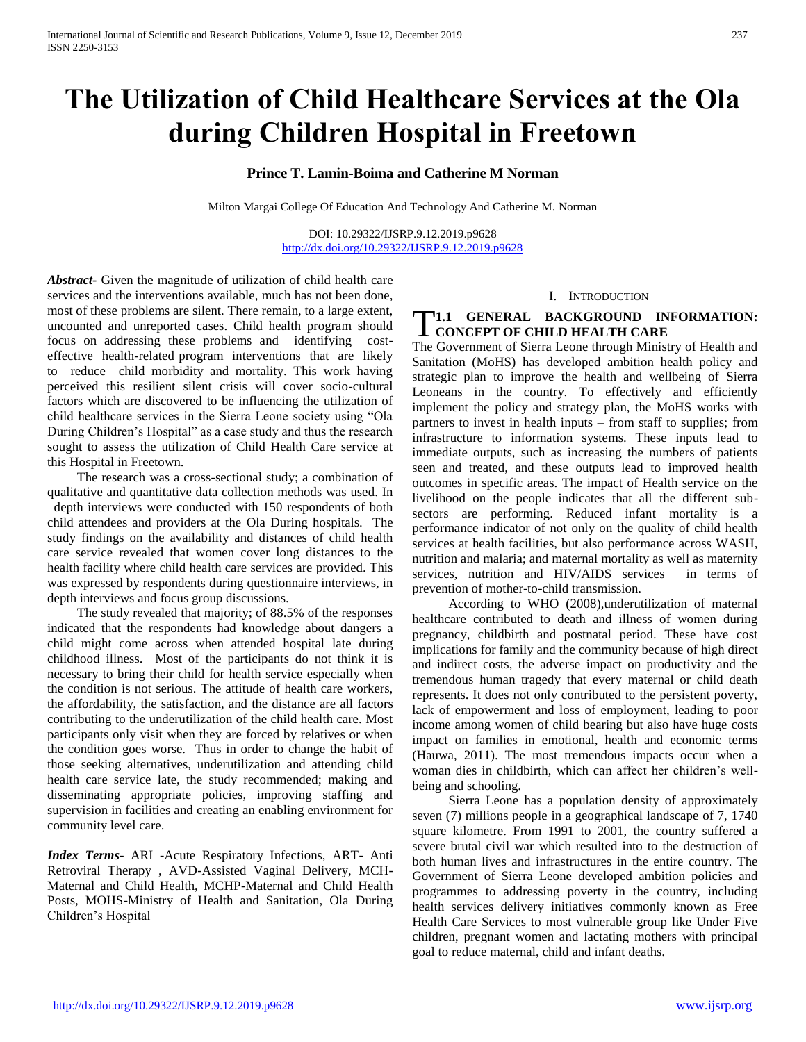# **The Utilization of Child Healthcare Services at the Ola during Children Hospital in Freetown**

# **Prince T. Lamin-Boima and Catherine M Norman**

Milton Margai College Of Education And Technology And Catherine M. Norman

DOI: 10.29322/IJSRP.9.12.2019.p9628 <http://dx.doi.org/10.29322/IJSRP.9.12.2019.p9628>

*Abstract***-** Given the magnitude of utilization of child health care services and the interventions available, much has not been done, most of these problems are silent. There remain, to a large extent, uncounted and unreported cases. Child health program should focus on addressing these problems and identifying costeffective health-related program interventions that are likely to reduce child morbidity and mortality. This work having perceived this resilient silent crisis will cover socio-cultural factors which are discovered to be influencing the utilization of child healthcare services in the Sierra Leone society using "Ola During Children's Hospital" as a case study and thus the research sought to assess the utilization of Child Health Care service at this Hospital in Freetown.

 The research was a cross-sectional study; a combination of qualitative and quantitative data collection methods was used. In –depth interviews were conducted with 150 respondents of both child attendees and providers at the Ola During hospitals. The study findings on the availability and distances of child health care service revealed that women cover long distances to the health facility where child health care services are provided. This was expressed by respondents during questionnaire interviews, in depth interviews and focus group discussions.

 The study revealed that majority; of 88.5% of the responses indicated that the respondents had knowledge about dangers a child might come across when attended hospital late during childhood illness. Most of the participants do not think it is necessary to bring their child for health service especially when the condition is not serious. The attitude of health care workers, the affordability, the satisfaction, and the distance are all factors contributing to the underutilization of the child health care. Most participants only visit when they are forced by relatives or when the condition goes worse. Thus in order to change the habit of those seeking alternatives, underutilization and attending child health care service late, the study recommended; making and disseminating appropriate policies, improving staffing and supervision in facilities and creating an enabling environment for community level care.

*Index Terms*- ARI -Acute Respiratory Infections, ART- Anti Retroviral Therapy , AVD-Assisted Vaginal Delivery, MCH-Maternal and Child Health, MCHP-Maternal and Child Health Posts, MOHS-Ministry of Health and Sanitation, Ola During Children's Hospital

#### I. INTRODUCTION

# **1.1 GENERAL BACKGROUND INFORMATION:**<br> **1.1 CONCEPT OF CHILD HEALTH CARE CONCEPT OF CHILD HEALTH CARE**

The Government of Sierra Leone through Ministry of Health and Sanitation (MoHS) has developed ambition health policy and strategic plan to improve the health and wellbeing of Sierra Leoneans in the country. To effectively and efficiently implement the policy and strategy plan, the MoHS works with partners to invest in health inputs – from staff to supplies; from infrastructure to information systems. These inputs lead to immediate outputs, such as increasing the numbers of patients seen and treated, and these outputs lead to improved health outcomes in specific areas. The impact of Health service on the livelihood on the people indicates that all the different subsectors are performing. Reduced infant mortality is a performance indicator of not only on the quality of child health services at health facilities, but also performance across WASH, nutrition and malaria; and maternal mortality as well as maternity services, nutrition and HIV/AIDS services in terms of prevention of mother-to-child transmission.

 According to WHO (2008),underutilization of maternal healthcare contributed to death and illness of women during pregnancy, childbirth and postnatal period. These have cost implications for family and the community because of high direct and indirect costs, the adverse impact on productivity and the tremendous human tragedy that every maternal or child death represents. It does not only contributed to the persistent poverty, lack of empowerment and loss of employment, leading to poor income among women of child bearing but also have huge costs impact on families in emotional, health and economic terms (Hauwa, 2011). The most tremendous impacts occur when a woman dies in childbirth, which can affect her children's wellbeing and schooling.

 Sierra Leone has a population density of approximately seven (7) millions people in a geographical landscape of 7, 1740 square kilometre. From 1991 to 2001, the country suffered a severe brutal civil war which resulted into to the destruction of both human lives and infrastructures in the entire country. The Government of Sierra Leone developed ambition policies and programmes to addressing poverty in the country, including health services delivery initiatives commonly known as Free Health Care Services to most vulnerable group like Under Five children, pregnant women and lactating mothers with principal goal to reduce maternal, child and infant deaths.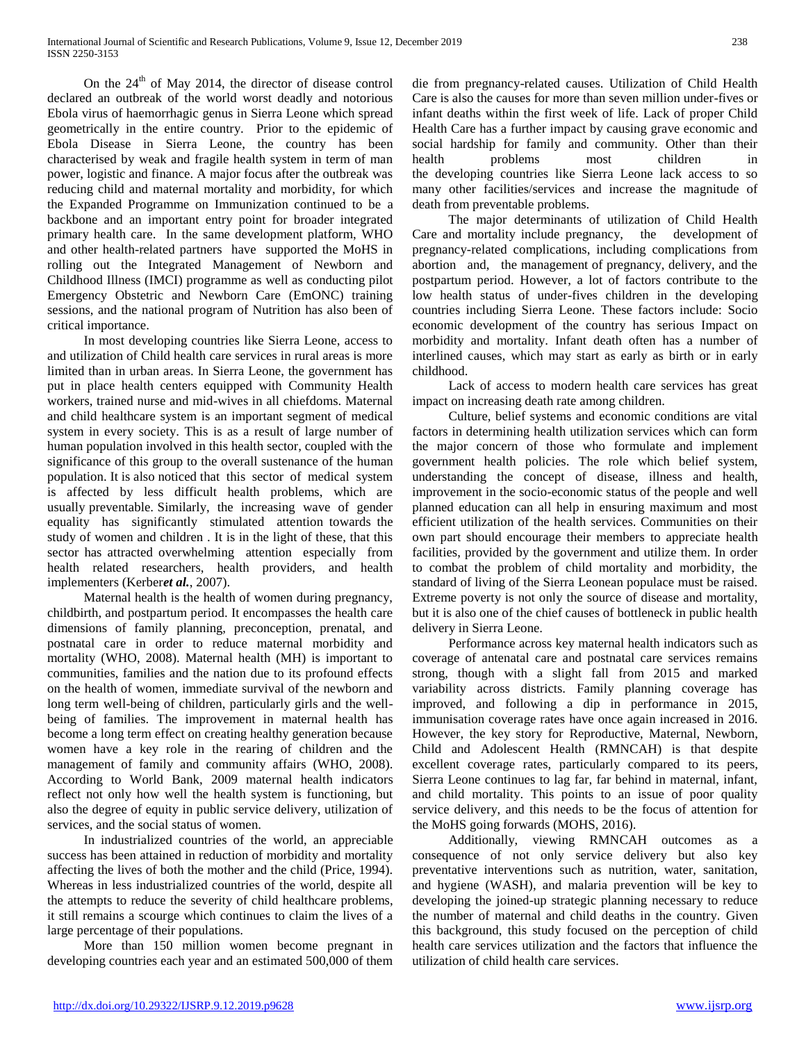On the  $24<sup>th</sup>$  of May 2014, the director of disease control declared an outbreak of the world worst deadly and notorious Ebola virus of haemorrhagic genus in Sierra Leone which spread geometrically in the entire country. Prior to the epidemic of Ebola Disease in Sierra Leone, the country has been characterised by weak and fragile health system in term of man power, logistic and finance. A major focus after the outbreak was reducing child and maternal mortality and morbidity, for which the Expanded Programme on Immunization continued to be a backbone and an important entry point for broader integrated primary health care. In the same development platform, WHO and other health-related partners have supported the MoHS in rolling out the Integrated Management of Newborn and Childhood Illness (IMCI) programme as well as conducting pilot Emergency Obstetric and Newborn Care (EmONC) training sessions, and the national program of Nutrition has also been of critical importance.

 In most developing countries like Sierra Leone, access to and utilization of Child health care services in rural areas is more limited than in urban areas. In Sierra Leone, the government has put in place health centers equipped with Community Health workers, trained nurse and mid-wives in all chiefdoms. Maternal and child healthcare system is an important segment of medical system in every society. This is as a result of large number of human population involved in this health sector, coupled with the significance of this group to the overall sustenance of the human population. It is also noticed that this sector of medical system is affected by less difficult health problems, which are usually preventable. Similarly, the increasing wave of gender equality has significantly stimulated attention towards the study of women and children . It is in the light of these, that this sector has attracted overwhelming attention especially from health related researchers, health providers, and health implementers (Kerber*et al.*, 2007).

 Maternal health is the health of women during pregnancy, childbirth, and postpartum period. It encompasses the health care dimensions of family planning, preconception, prenatal, and postnatal care in order to reduce maternal morbidity and mortality (WHO, 2008). Maternal health (MH) is important to communities, families and the nation due to its profound effects on the health of women, immediate survival of the newborn and long term well-being of children, particularly girls and the wellbeing of families. The improvement in maternal health has become a long term effect on creating healthy generation because women have a key role in the rearing of children and the management of family and community affairs (WHO, 2008). According to World Bank, 2009 maternal health indicators reflect not only how well the health system is functioning, but also the degree of equity in public service delivery, utilization of services, and the social status of women.

 In industrialized countries of the world, an appreciable success has been attained in reduction of morbidity and mortality affecting the lives of both the mother and the child (Price, 1994). Whereas in less industrialized countries of the world, despite all the attempts to reduce the severity of child healthcare problems, it still remains a scourge which continues to claim the lives of a large percentage of their populations.

 More than 150 million women become pregnant in developing countries each year and an estimated 500,000 of them die from pregnancy-related causes. Utilization of Child Health Care is also the causes for more than seven million under-fives or infant deaths within the first week of life. Lack of proper Child Health Care has a further impact by causing grave economic and social hardship for family and community. Other than their health problems most children in the developing countries like Sierra Leone lack access to so many other facilities/services and increase the magnitude of death from preventable problems.

 The major determinants of utilization of Child Health Care and mortality include pregnancy, the development of pregnancy-related complications, including complications from abortion and, the management of pregnancy, delivery, and the postpartum period. However, a lot of factors contribute to the low health status of under-fives children in the developing countries including Sierra Leone. These factors include: Socio economic development of the country has serious Impact on morbidity and mortality. Infant death often has a number of interlined causes, which may start as early as birth or in early childhood.

 Lack of access to modern health care services has great impact on increasing death rate among children.

 Culture, belief systems and economic conditions are vital factors in determining health utilization services which can form the major concern of those who formulate and implement government health policies. The role which belief system, understanding the concept of disease, illness and health, improvement in the socio-economic status of the people and well planned education can all help in ensuring maximum and most efficient utilization of the health services. Communities on their own part should encourage their members to appreciate health facilities, provided by the government and utilize them. In order to combat the problem of child mortality and morbidity, the standard of living of the Sierra Leonean populace must be raised. Extreme poverty is not only the source of disease and mortality, but it is also one of the chief causes of bottleneck in public health delivery in Sierra Leone.

 Performance across key maternal health indicators such as coverage of antenatal care and postnatal care services remains strong, though with a slight fall from 2015 and marked variability across districts. Family planning coverage has improved, and following a dip in performance in 2015, immunisation coverage rates have once again increased in 2016. However, the key story for Reproductive, Maternal, Newborn, Child and Adolescent Health (RMNCAH) is that despite excellent coverage rates, particularly compared to its peers, Sierra Leone continues to lag far, far behind in maternal, infant, and child mortality. This points to an issue of poor quality service delivery, and this needs to be the focus of attention for the MoHS going forwards (MOHS, 2016).

 Additionally, viewing RMNCAH outcomes as a consequence of not only service delivery but also key preventative interventions such as nutrition, water, sanitation, and hygiene (WASH), and malaria prevention will be key to developing the joined-up strategic planning necessary to reduce the number of maternal and child deaths in the country. Given this background, this study focused on the perception of child health care services utilization and the factors that influence the utilization of child health care services.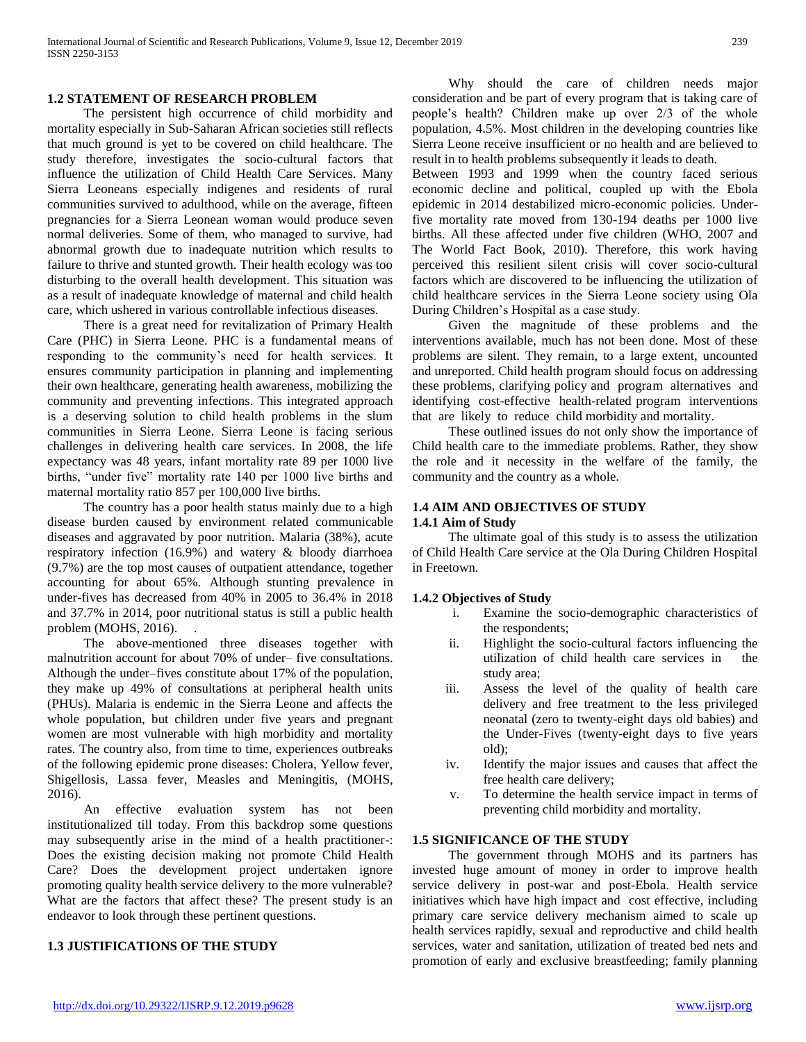#### **1.2 STATEMENT OF RESEARCH PROBLEM**

 The persistent high occurrence of child morbidity and mortality especially in Sub-Saharan African societies still reflects that much ground is yet to be covered on child healthcare. The study therefore, investigates the socio-cultural factors that influence the utilization of Child Health Care Services. Many Sierra Leoneans especially indigenes and residents of rural communities survived to adulthood, while on the average, fifteen pregnancies for a Sierra Leonean woman would produce seven normal deliveries. Some of them, who managed to survive, had abnormal growth due to inadequate nutrition which results to failure to thrive and stunted growth. Their health ecology was too disturbing to the overall health development. This situation was as a result of inadequate knowledge of maternal and child health care, which ushered in various controllable infectious diseases.

 There is a great need for revitalization of Primary Health Care (PHC) in Sierra Leone. PHC is a fundamental means of responding to the community's need for health services. It ensures community participation in planning and implementing their own healthcare, generating health awareness, mobilizing the community and preventing infections. This integrated approach is a deserving solution to child health problems in the slum communities in Sierra Leone. Sierra Leone is facing serious challenges in delivering health care services. In 2008, the life expectancy was 48 years, infant mortality rate 89 per 1000 live births, "under five" mortality rate 140 per 1000 live births and maternal mortality ratio 857 per 100,000 live births.

 The country has a poor health status mainly due to a high disease burden caused by environment related communicable diseases and aggravated by poor nutrition. Malaria (38%), acute respiratory infection (16.9%) and watery & bloody diarrhoea (9.7%) are the top most causes of outpatient attendance, together accounting for about 65%. Although stunting prevalence in under-fives has decreased from 40% in 2005 to 36.4% in 2018 and 37.7% in 2014, poor nutritional status is still a public health problem (MOHS, 2016). .

 The above-mentioned three diseases together with malnutrition account for about 70% of under– five consultations. Although the under–fives constitute about 17% of the population, they make up 49% of consultations at peripheral health units (PHUs). Malaria is endemic in the Sierra Leone and affects the whole population, but children under five years and pregnant women are most vulnerable with high morbidity and mortality rates. The country also, from time to time, experiences outbreaks of the following epidemic prone diseases: Cholera, Yellow fever, Shigellosis, Lassa fever, Measles and Meningitis, (MOHS, 2016).

 An effective evaluation system has not been institutionalized till today. From this backdrop some questions may subsequently arise in the mind of a health practitioner-: Does the existing decision making not promote Child Health Care? Does the development project undertaken ignore promoting quality health service delivery to the more vulnerable? What are the factors that affect these? The present study is an endeavor to look through these pertinent questions.

#### **1.3 JUSTIFICATIONS OF THE STUDY**

 Why should the care of children needs major consideration and be part of every program that is taking care of people's health? Children make up over 2/3 of the whole population, 4.5%. Most children in the developing countries like Sierra Leone receive insufficient or no health and are believed to result in to health problems subsequently it leads to death.

Between 1993 and 1999 when the country faced serious economic decline and political, coupled up with the Ebola epidemic in 2014 destabilized micro-economic policies. Underfive mortality rate moved from 130-194 deaths per 1000 live births. All these affected under five children (WHO, 2007 and The World Fact Book, 2010). Therefore, this work having perceived this resilient silent crisis will cover socio-cultural factors which are discovered to be influencing the utilization of child healthcare services in the Sierra Leone society using Ola During Children's Hospital as a case study.

 Given the magnitude of these problems and the interventions available, much has not been done. Most of these problems are silent. They remain, to a large extent, uncounted and unreported. Child health program should focus on addressing these problems, clarifying policy and program alternatives and identifying cost-effective health-related program interventions that are likely to reduce child morbidity and mortality.

 These outlined issues do not only show the importance of Child health care to the immediate problems. Rather, they show the role and it necessity in the welfare of the family, the community and the country as a whole.

#### **1.4 AIM AND OBJECTIVES OF STUDY**

#### **1.4.1 Aim of Study**

 The ultimate goal of this study is to assess the utilization of Child Health Care service at the Ola During Children Hospital in Freetown.

#### **1.4.2 Objectives of Study**

- i. Examine the socio-demographic characteristics of the respondents;
- ii. Highlight the socio-cultural factors influencing the utilization of child health care services in the study area;
- iii. Assess the level of the quality of health care delivery and free treatment to the less privileged neonatal (zero to twenty-eight days old babies) and the Under-Fives (twenty-eight days to five years old);
- iv. Identify the major issues and causes that affect the free health care delivery;
- v. To determine the health service impact in terms of preventing child morbidity and mortality.

#### **1.5 SIGNIFICANCE OF THE STUDY**

 The government through MOHS and its partners has invested huge amount of money in order to improve health service delivery in post-war and post-Ebola. Health service initiatives which have high impact and cost effective, including primary care service delivery mechanism aimed to scale up health services rapidly, sexual and reproductive and child health services, water and sanitation, utilization of treated bed nets and promotion of early and exclusive breastfeeding; family planning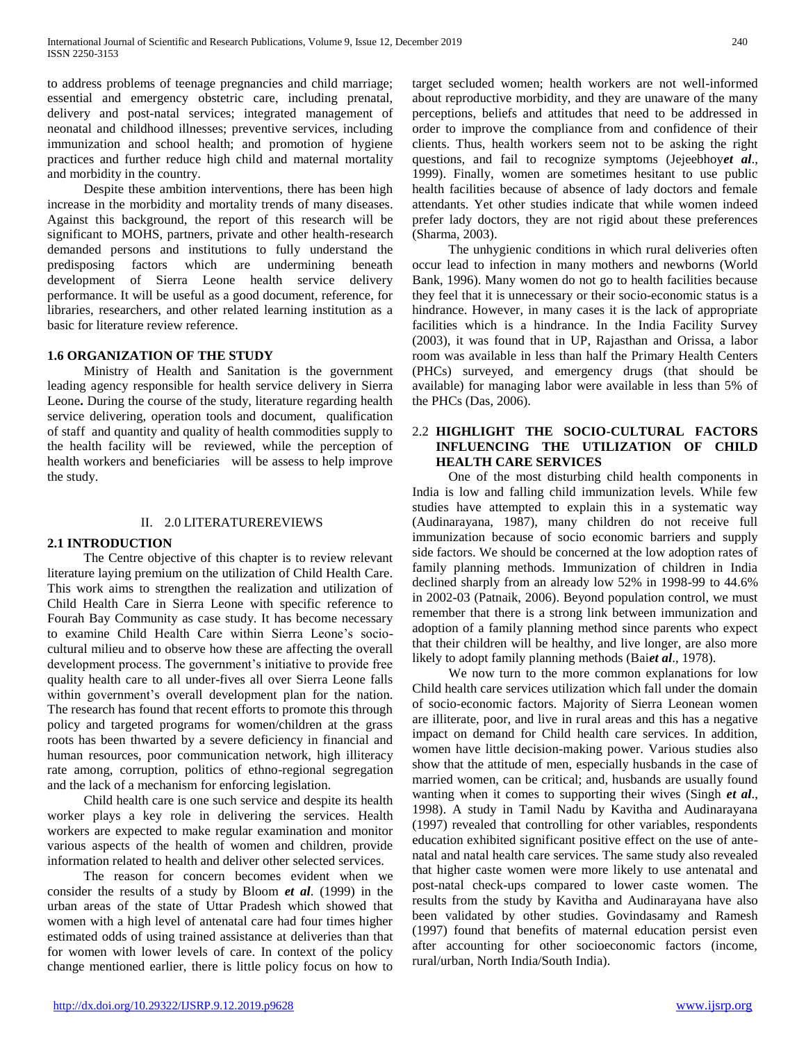to address problems of teenage pregnancies and child marriage; essential and emergency obstetric care, including prenatal, delivery and post-natal services; integrated management of neonatal and childhood illnesses; preventive services, including immunization and school health; and promotion of hygiene practices and further reduce high child and maternal mortality and morbidity in the country.

 Despite these ambition interventions, there has been high increase in the morbidity and mortality trends of many diseases. Against this background, the report of this research will be significant to MOHS, partners, private and other health-research demanded persons and institutions to fully understand the predisposing factors which are undermining beneath development of Sierra Leone health service delivery performance. It will be useful as a good document, reference, for libraries, researchers, and other related learning institution as a basic for literature review reference.

#### **1.6 ORGANIZATION OF THE STUDY**

 Ministry of Health and Sanitation is the government leading agency responsible for health service delivery in Sierra Leone**.** During the course of the study, literature regarding health service delivering, operation tools and document, qualification of staff and quantity and quality of health commodities supply to the health facility will be reviewed, while the perception of health workers and beneficiaries will be assess to help improve the study.

#### II. 2.0 LITERATUREREVIEWS

# **2.1 INTRODUCTION**

 The Centre objective of this chapter is to review relevant literature laying premium on the utilization of Child Health Care. This work aims to strengthen the realization and utilization of Child Health Care in Sierra Leone with specific reference to Fourah Bay Community as case study. It has become necessary to examine Child Health Care within Sierra Leone's sociocultural milieu and to observe how these are affecting the overall development process. The government's initiative to provide free quality health care to all under-fives all over Sierra Leone falls within government's overall development plan for the nation. The research has found that recent efforts to promote this through policy and targeted programs for women/children at the grass roots has been thwarted by a severe deficiency in financial and human resources, poor communication network, high illiteracy rate among, corruption, politics of ethno-regional segregation and the lack of a mechanism for enforcing legislation.

 Child health care is one such service and despite its health worker plays a key role in delivering the services. Health workers are expected to make regular examination and monitor various aspects of the health of women and children, provide information related to health and deliver other selected services.

 The reason for concern becomes evident when we consider the results of a study by Bloom *et al*. (1999) in the urban areas of the state of Uttar Pradesh which showed that women with a high level of antenatal care had four times higher estimated odds of using trained assistance at deliveries than that for women with lower levels of care. In context of the policy change mentioned earlier, there is little policy focus on how to

target secluded women; health workers are not well-informed about reproductive morbidity, and they are unaware of the many perceptions, beliefs and attitudes that need to be addressed in order to improve the compliance from and confidence of their clients. Thus, health workers seem not to be asking the right questions, and fail to recognize symptoms (Jejeebhoy*et al*., 1999). Finally, women are sometimes hesitant to use public health facilities because of absence of lady doctors and female attendants. Yet other studies indicate that while women indeed prefer lady doctors, they are not rigid about these preferences (Sharma, 2003).

 The unhygienic conditions in which rural deliveries often occur lead to infection in many mothers and newborns (World Bank, 1996). Many women do not go to health facilities because they feel that it is unnecessary or their socio-economic status is a hindrance. However, in many cases it is the lack of appropriate facilities which is a hindrance. In the India Facility Survey (2003), it was found that in UP, Rajasthan and Orissa, a labor room was available in less than half the Primary Health Centers (PHCs) surveyed, and emergency drugs (that should be available) for managing labor were available in less than 5% of the PHCs (Das, 2006).

#### 2.2 **HIGHLIGHT THE SOCIO-CULTURAL FACTORS INFLUENCING THE UTILIZATION OF CHILD HEALTH CARE SERVICES**

 One of the most disturbing child health components in India is low and falling child immunization levels. While few studies have attempted to explain this in a systematic way (Audinarayana, 1987), many children do not receive full immunization because of socio economic barriers and supply side factors. We should be concerned at the low adoption rates of family planning methods. Immunization of children in India declined sharply from an already low 52% in 1998-99 to 44.6% in 2002-03 (Patnaik, 2006). Beyond population control, we must remember that there is a strong link between immunization and adoption of a family planning method since parents who expect that their children will be healthy, and live longer, are also more likely to adopt family planning methods (Bai*et al*., 1978).

 We now turn to the more common explanations for low Child health care services utilization which fall under the domain of socio-economic factors. Majority of Sierra Leonean women are illiterate, poor, and live in rural areas and this has a negative impact on demand for Child health care services. In addition, women have little decision-making power. Various studies also show that the attitude of men, especially husbands in the case of married women, can be critical; and, husbands are usually found wanting when it comes to supporting their wives (Singh *et al*., 1998). A study in Tamil Nadu by Kavitha and Audinarayana (1997) revealed that controlling for other variables, respondents education exhibited significant positive effect on the use of antenatal and natal health care services. The same study also revealed that higher caste women were more likely to use antenatal and post-natal check-ups compared to lower caste women. The results from the study by Kavitha and Audinarayana have also been validated by other studies. Govindasamy and Ramesh (1997) found that benefits of maternal education persist even after accounting for other socioeconomic factors (income, rural/urban, North India/South India).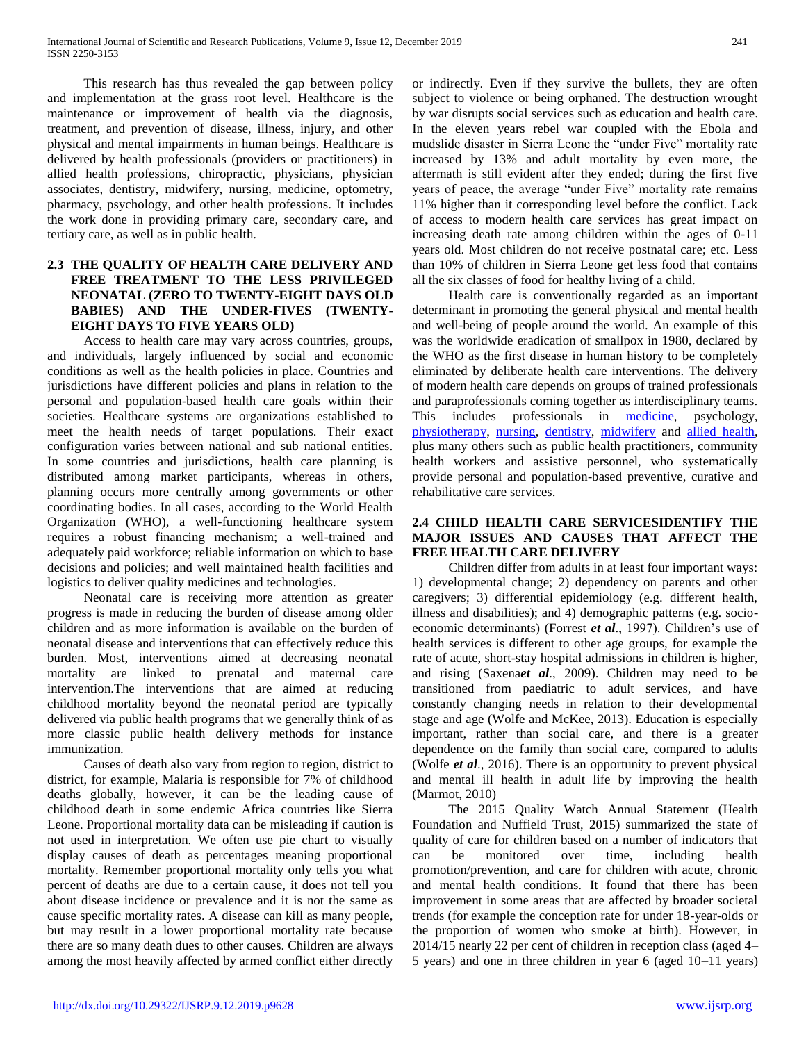This research has thus revealed the gap between policy and implementation at the grass root level. Healthcare is the maintenance or improvement of health via the diagnosis, treatment, and prevention of disease, illness, injury, and other physical and mental impairments in human beings. Healthcare is delivered by health professionals (providers or practitioners) in allied health professions, chiropractic, physicians, physician associates, dentistry, midwifery, nursing, medicine, optometry, pharmacy, psychology, and other health professions. It includes the work done in providing primary care, secondary care, and tertiary care, as well as in public health.

# **2.3 THE QUALITY OF HEALTH CARE DELIVERY AND FREE TREATMENT TO THE LESS PRIVILEGED NEONATAL (ZERO TO TWENTY-EIGHT DAYS OLD BABIES) AND THE UNDER-FIVES (TWENTY-EIGHT DAYS TO FIVE YEARS OLD)**

 Access to health care may vary across countries, groups, and individuals, largely influenced by social and economic conditions as well as the health policies in place. Countries and jurisdictions have different policies and plans in relation to the personal and population-based health care goals within their societies. Healthcare systems are organizations established to meet the health needs of target populations. Their exact configuration varies between national and sub national entities. In some countries and jurisdictions, health care planning is distributed among market participants, whereas in others, planning occurs more centrally among governments or other coordinating bodies. In all cases, according to the World Health Organization (WHO), a well-functioning healthcare system requires a robust financing mechanism; a well-trained and adequately paid workforce; reliable information on which to base decisions and policies; and well maintained health facilities and logistics to deliver quality medicines and technologies.

 Neonatal care is receiving more attention as greater progress is made in reducing the burden of disease among older children and as more information is available on the burden of neonatal disease and interventions that can effectively reduce this burden. Most, interventions aimed at decreasing neonatal mortality are linked to prenatal and maternal care intervention.The interventions that are aimed at reducing childhood mortality beyond the neonatal period are typically delivered via public health programs that we generally think of as more classic public health delivery methods for instance immunization.

 Causes of death also vary from region to region, district to district, for example, Malaria is responsible for 7% of childhood deaths globally, however, it can be the leading cause of childhood death in some endemic Africa countries like Sierra Leone. Proportional mortality data can be misleading if caution is not used in interpretation. We often use pie chart to visually display causes of death as percentages meaning proportional mortality. Remember proportional mortality only tells you what percent of deaths are due to a certain cause, it does not tell you about disease incidence or prevalence and it is not the same as cause specific mortality rates. A disease can kill as many people, but may result in a lower proportional mortality rate because there are so many death dues to other causes. Children are always among the most heavily affected by armed conflict either directly or indirectly. Even if they survive the bullets, they are often subject to violence or being orphaned. The destruction wrought by war disrupts social services such as education and health care. In the eleven years rebel war coupled with the Ebola and mudslide disaster in Sierra Leone the "under Five" mortality rate increased by 13% and adult mortality by even more, the aftermath is still evident after they ended; during the first five years of peace, the average "under Five" mortality rate remains 11% higher than it corresponding level before the conflict. Lack of access to modern health care services has great impact on increasing death rate among children within the ages of 0-11 years old. Most children do not receive postnatal care; etc. Less than 10% of children in Sierra Leone get less food that contains all the six classes of food for healthy living of a child.

 Health care is conventionally regarded as an important determinant in promoting the general physical and mental health and well-being of people around the world. An example of this was the worldwide eradication of smallpox in 1980, declared by the WHO as the first disease in human history to be completely eliminated by deliberate health care interventions. The delivery of modern health care depends on groups of trained professionals and paraprofessionals coming together as interdisciplinary teams. This includes professionals in [medicine,](https://en.wikipedia.org/wiki/Medicine) psychology, [physiotherapy,](https://en.wikipedia.org/wiki/Physiotherapy) [nursing,](https://en.wikipedia.org/wiki/Nursing) [dentistry,](https://en.wikipedia.org/wiki/Dentistry) [midwifery](https://en.wikipedia.org/wiki/Midwifery) and [allied health,](https://en.wikipedia.org/wiki/Allied_health) plus many others such as public health practitioners, community health workers and assistive personnel, who systematically provide personal and population-based preventive, curative and rehabilitative care services.

# **2.4 CHILD HEALTH CARE SERVICESIDENTIFY THE MAJOR ISSUES AND CAUSES THAT AFFECT THE FREE HEALTH CARE DELIVERY**

 Children differ from adults in at least four important ways: 1) developmental change; 2) dependency on parents and other caregivers; 3) differential epidemiology (e.g. different health, illness and disabilities); and 4) demographic patterns (e.g. socioeconomic determinants) (Forrest *et al*., 1997). Children's use of health services is different to other age groups, for example the rate of acute, short-stay hospital admissions in children is higher, and rising (Saxena*et al*., 2009). Children may need to be transitioned from paediatric to adult services, and have constantly changing needs in relation to their developmental stage and age (Wolfe and McKee, 2013). Education is especially important, rather than social care, and there is a greater dependence on the family than social care, compared to adults (Wolfe *et al*., 2016). There is an opportunity to prevent physical and mental ill health in adult life by improving the health (Marmot, 2010)

 The 2015 Quality Watch Annual Statement (Health Foundation and Nuffield Trust, 2015) summarized the state of quality of care for children based on a number of indicators that can be monitored over time, including health promotion/prevention, and care for children with acute, chronic and mental health conditions. It found that there has been improvement in some areas that are affected by broader societal trends (for example the conception rate for under 18-year-olds or the proportion of women who smoke at birth). However, in 2014/15 nearly 22 per cent of children in reception class (aged 4– 5 years) and one in three children in year 6 (aged 10–11 years)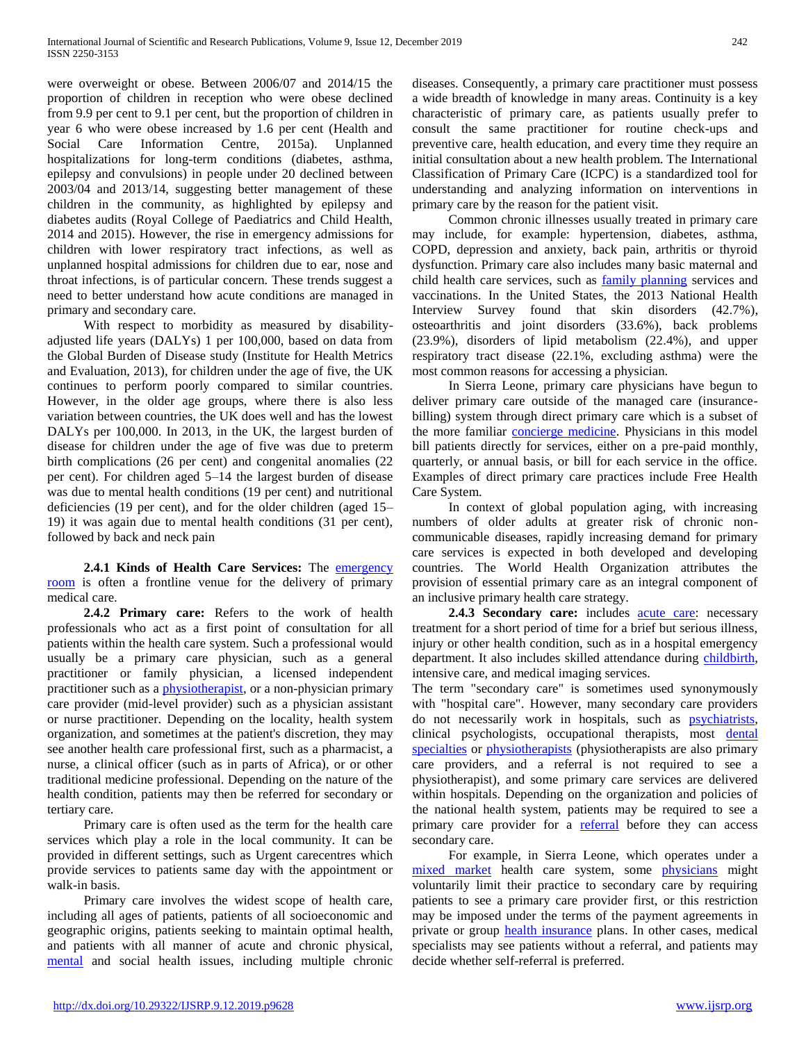were overweight or obese. Between 2006/07 and 2014/15 the proportion of children in reception who were obese declined from 9.9 per cent to 9.1 per cent, but the proportion of children in year 6 who were obese increased by 1.6 per cent (Health and Social Care Information Centre, 2015a). Unplanned hospitalizations for long-term conditions (diabetes, asthma, epilepsy and convulsions) in people under 20 declined between 2003/04 and 2013/14, suggesting better management of these children in the community, as highlighted by epilepsy and diabetes audits (Royal College of Paediatrics and Child Health, 2014 and 2015). However, the rise in emergency admissions for children with lower respiratory tract infections, as well as unplanned hospital admissions for children due to ear, nose and throat infections, is of particular concern. These trends suggest a need to better understand how acute conditions are managed in primary and secondary care.

 With respect to morbidity as measured by disabilityadjusted life years (DALYs) 1 per 100,000, based on data from the Global Burden of Disease study (Institute for Health Metrics and Evaluation, 2013), for children under the age of five, the UK continues to perform poorly compared to similar countries. However, in the older age groups, where there is also less variation between countries, the UK does well and has the lowest DALYs per 100,000. In 2013, in the UK, the largest burden of disease for children under the age of five was due to preterm birth complications (26 per cent) and congenital anomalies (22 per cent). For children aged 5–14 the largest burden of disease was due to mental health conditions (19 per cent) and nutritional deficiencies (19 per cent), and for the older children (aged 15– 19) it was again due to mental health conditions (31 per cent), followed by back and neck pain

 **2.4.1 Kinds of Health Care Services:** The [emergency](https://en.wikipedia.org/wiki/Emergency_room)  [room](https://en.wikipedia.org/wiki/Emergency_room) is often a frontline venue for the delivery of primary medical care.

 **2.4.2 Primary care:** Refers to the work of health professionals who act as a first point of consultation for all patients within the health care system. Such a professional would usually be a primary care physician, such as a general practitioner or family physician, a licensed independent practitioner such as a [physiotherapist,](https://en.wikipedia.org/wiki/Physiotherapist) or a non-physician primary care provider (mid-level provider) such as a physician assistant or nurse practitioner. Depending on the locality, health system organization, and sometimes at the patient's discretion, they may see another health care professional first, such as a pharmacist, a nurse, a clinical officer (such as in parts of Africa), or or other traditional medicine professional. Depending on the nature of the health condition, patients may then be referred for secondary or tertiary care.

 Primary care is often used as the term for the health care services which play a role in the local community. It can be provided in different settings, such as Urgent carecentres which provide services to patients same day with the appointment or walk-in basis.

 Primary care involves the widest scope of health care, including all ages of patients, patients of all socioeconomic and geographic origins, patients seeking to maintain optimal health, and patients with all manner of acute and chronic physical, [mental](https://en.wikipedia.org/wiki/Mental_health) and social health issues, including multiple chronic diseases. Consequently, a primary care practitioner must possess a wide breadth of knowledge in many areas. Continuity is a key characteristic of primary care, as patients usually prefer to consult the same practitioner for routine check-ups and preventive care, health education, and every time they require an initial consultation about a new health problem. The International Classification of Primary Care (ICPC) is a standardized tool for understanding and analyzing information on interventions in primary care by the reason for the patient visit.

 Common chronic illnesses usually treated in primary care may include, for example: hypertension, diabetes, asthma, COPD, depression and anxiety, back pain, arthritis or thyroid dysfunction. Primary care also includes many basic maternal and child health care services, such as [family planning](https://en.wikipedia.org/wiki/Family_planning) services and vaccinations. In the United States, the 2013 National Health Interview Survey found that skin disorders (42.7%), osteoarthritis and joint disorders (33.6%), back problems (23.9%), disorders of lipid metabolism (22.4%), and upper respiratory tract disease (22.1%, excluding asthma) were the most common reasons for accessing a physician.

 In Sierra Leone, primary care physicians have begun to deliver primary care outside of the managed care (insurancebilling) system through direct primary care which is a subset of the more familiar [concierge medicine.](https://en.wikipedia.org/wiki/Concierge_medicine) Physicians in this model bill patients directly for services, either on a pre-paid monthly, quarterly, or annual basis, or bill for each service in the office. Examples of direct primary care practices include Free Health Care System.

 In context of global population aging, with increasing numbers of older adults at greater risk of chronic noncommunicable diseases, rapidly increasing demand for primary care services is expected in both developed and developing countries. The World Health Organization attributes the provision of essential primary care as an integral component of an inclusive primary health care strategy.

2.4.3 Secondary care: includes **acute care**: necessary treatment for a short period of time for a brief but serious illness, injury or other health condition, such as in a hospital emergency department. It also includes skilled attendance during [childbirth,](https://en.wikipedia.org/wiki/Childbirth) intensive care, and medical imaging services.

The term "secondary care" is sometimes used synonymously with "hospital care". However, many secondary care providers do not necessarily work in hospitals, such as [psychiatrists,](https://en.wikipedia.org/wiki/Psychiatrists) clinical psychologists, occupational therapists, most [dental](https://en.wikipedia.org/wiki/Dental_specialties)  [specialties](https://en.wikipedia.org/wiki/Dental_specialties) or [physiotherapists](https://en.wikipedia.org/wiki/Physiotherapist) (physiotherapists are also primary care providers, and a referral is not required to see a physiotherapist), and some primary care services are delivered within hospitals. Depending on the organization and policies of the national health system, patients may be required to see a primary care provider for a [referral](https://en.wikipedia.org/wiki/Referral_(medicine)) before they can access secondary care.

 For example, in Sierra Leone, which operates under a [mixed market](https://en.wikipedia.org/wiki/Mixed_market) health care system, some [physicians](https://en.wikipedia.org/wiki/Physician) might voluntarily limit their practice to secondary care by requiring patients to see a primary care provider first, or this restriction may be imposed under the terms of the payment agreements in private or group [health insurance](https://en.wikipedia.org/wiki/Health_insurance) plans. In other cases, medical specialists may see patients without a referral, and patients may decide whether self-referral is preferred.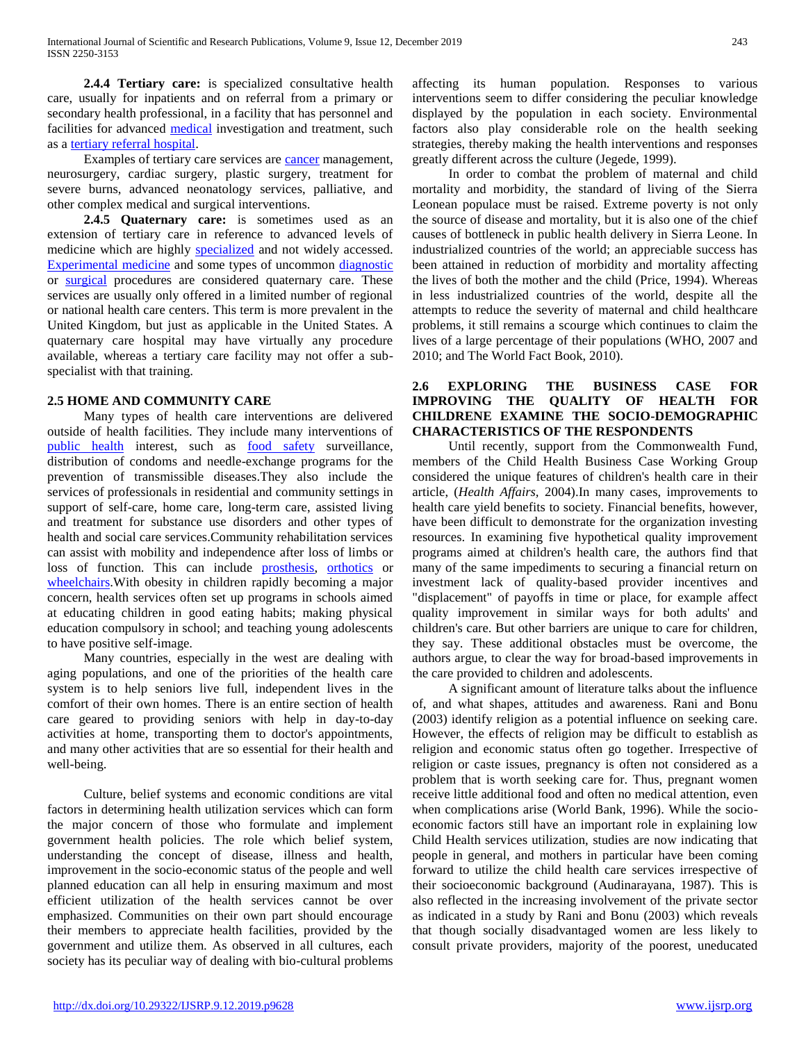**2.4.4 Tertiary care:** is specialized consultative health care, usually for inpatients and on referral from a primary or secondary health professional, in a facility that has personnel and facilities for advanced [medical](https://en.wikipedia.org/wiki/Medicine) investigation and treatment, such as a [tertiary referral hospital.](https://en.wikipedia.org/wiki/Tertiary_referral_hospital)

Examples of tertiary care services are **cancer** management, neurosurgery, cardiac surgery, plastic surgery, treatment for severe burns, advanced neonatology services, palliative, and other complex medical and surgical interventions.

 **2.4.5 Quaternary care:** is sometimes used as an extension of tertiary care in reference to advanced levels of medicine which are highly [specialized](https://en.wikipedia.org/wiki/Medical_specialist) and not widely accessed. [Experimental medicine](https://en.wikipedia.org/wiki/Clinical_research) and some types of uncommon [diagnostic](https://en.wikipedia.org/wiki/Diagnosis) or [surgical](https://en.wikipedia.org/wiki/Surgery) procedures are considered quaternary care. These services are usually only offered in a limited number of regional or national health care centers. This term is more prevalent in the United Kingdom, but just as applicable in the United States. A quaternary care hospital may have virtually any procedure available, whereas a tertiary care facility may not offer a subspecialist with that training.

# **2.5 HOME AND COMMUNITY CARE**

 Many types of health care interventions are delivered outside of health facilities. They include many interventions of [public health](https://en.wikipedia.org/wiki/Public_health) interest, such as [food safety](https://en.wikipedia.org/wiki/Food_safety) surveillance, distribution of condoms and needle-exchange programs for the prevention of transmissible diseases.They also include the services of professionals in residential and community settings in support of self-care, home care, long-term care, assisted living and treatment for substance use disorders and other types of health and social care services.Community rehabilitation services can assist with mobility and independence after loss of limbs or loss of function. This can include [prosthesis,](https://en.wikipedia.org/wiki/Prosthesis) [orthotics](https://en.wikipedia.org/wiki/Orthotics) or [wheelchairs.](https://en.wikipedia.org/wiki/Wheelchair) With obesity in children rapidly becoming a major concern, health services often set up programs in schools aimed at educating children in good eating habits; making physical education compulsory in school; and teaching young adolescents to have positive self-image.

 Many countries, especially in the west are dealing with aging populations, and one of the priorities of the health care system is to help seniors live full, independent lives in the comfort of their own homes. There is an entire section of health care geared to providing seniors with help in day-to-day activities at home, transporting them to doctor's appointments, and many other activities that are so essential for their health and well-being.

 Culture, belief systems and economic conditions are vital factors in determining health utilization services which can form the major concern of those who formulate and implement government health policies. The role which belief system, understanding the concept of disease, illness and health, improvement in the socio-economic status of the people and well planned education can all help in ensuring maximum and most efficient utilization of the health services cannot be over emphasized. Communities on their own part should encourage their members to appreciate health facilities, provided by the government and utilize them. As observed in all cultures, each society has its peculiar way of dealing with bio-cultural problems

affecting its human population. Responses to various interventions seem to differ considering the peculiar knowledge displayed by the population in each society. Environmental factors also play considerable role on the health seeking strategies, thereby making the health interventions and responses greatly different across the culture (Jegede, 1999).

 In order to combat the problem of maternal and child mortality and morbidity, the standard of living of the Sierra Leonean populace must be raised. Extreme poverty is not only the source of disease and mortality, but it is also one of the chief causes of bottleneck in public health delivery in Sierra Leone. In industrialized countries of the world; an appreciable success has been attained in reduction of morbidity and mortality affecting the lives of both the mother and the child (Price, 1994). Whereas in less industrialized countries of the world, despite all the attempts to reduce the severity of maternal and child healthcare problems, it still remains a scourge which continues to claim the lives of a large percentage of their populations (WHO, 2007 and 2010; and The World Fact Book, 2010).

# **2.6 EXPLORING THE BUSINESS CASE FOR IMPROVING THE QUALITY OF HEALTH FOR CHILDRENE EXAMINE THE SOCIO-DEMOGRAPHIC CHARACTERISTICS OF THE RESPONDENTS**

 Until recently, support from the Commonwealth Fund, members of the Child Health Business Case Working Group considered the unique features of children's health care in their article, (*Health Affairs,* 2004).In many cases, improvements to health care yield benefits to society. Financial benefits, however, have been difficult to demonstrate for the organization investing resources. In examining five hypothetical quality improvement programs aimed at children's health care, the authors find that many of the same impediments to securing a financial return on investment lack of quality-based provider incentives and "displacement" of payoffs in time or place, for example affect quality improvement in similar ways for both adults' and children's care. But other barriers are unique to care for children, they say. These additional obstacles must be overcome, the authors argue, to clear the way for broad-based improvements in the care provided to children and adolescents.

 A significant amount of literature talks about the influence of, and what shapes, attitudes and awareness. Rani and Bonu (2003) identify religion as a potential influence on seeking care. However, the effects of religion may be difficult to establish as religion and economic status often go together. Irrespective of religion or caste issues, pregnancy is often not considered as a problem that is worth seeking care for. Thus, pregnant women receive little additional food and often no medical attention, even when complications arise (World Bank, 1996). While the socioeconomic factors still have an important role in explaining low Child Health services utilization, studies are now indicating that people in general, and mothers in particular have been coming forward to utilize the child health care services irrespective of their socioeconomic background (Audinarayana, 1987). This is also reflected in the increasing involvement of the private sector as indicated in a study by Rani and Bonu (2003) which reveals that though socially disadvantaged women are less likely to consult private providers, majority of the poorest, uneducated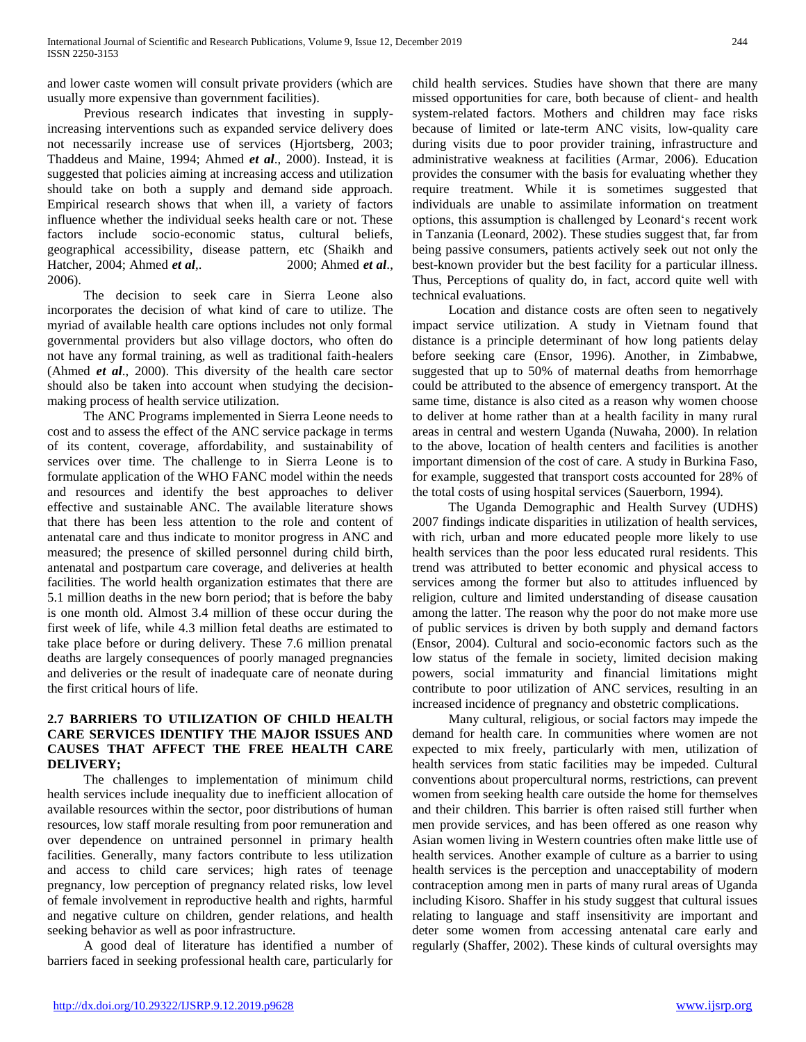and lower caste women will consult private providers (which are usually more expensive than government facilities).

 Previous research indicates that investing in supplyincreasing interventions such as expanded service delivery does not necessarily increase use of services (Hjortsberg, 2003; Thaddeus and Maine, 1994; Ahmed *et al*., 2000). Instead, it is suggested that policies aiming at increasing access and utilization should take on both a supply and demand side approach. Empirical research shows that when ill, a variety of factors influence whether the individual seeks health care or not. These factors include socio-economic status, cultural beliefs, geographical accessibility, disease pattern, etc (Shaikh and Hatcher, 2004; Ahmed *et al*,. 2000; Ahmed *et al*., 2006).

 The decision to seek care in Sierra Leone also incorporates the decision of what kind of care to utilize. The myriad of available health care options includes not only formal governmental providers but also village doctors, who often do not have any formal training, as well as traditional faith-healers (Ahmed *et al*., 2000). This diversity of the health care sector should also be taken into account when studying the decisionmaking process of health service utilization.

 The ANC Programs implemented in Sierra Leone needs to cost and to assess the effect of the ANC service package in terms of its content, coverage, affordability, and sustainability of services over time. The challenge to in Sierra Leone is to formulate application of the WHO FANC model within the needs and resources and identify the best approaches to deliver effective and sustainable ANC. The available literature shows that there has been less attention to the role and content of antenatal care and thus indicate to monitor progress in ANC and measured; the presence of skilled personnel during child birth, antenatal and postpartum care coverage, and deliveries at health facilities. The world health organization estimates that there are 5.1 million deaths in the new born period; that is before the baby is one month old. Almost 3.4 million of these occur during the first week of life, while 4.3 million fetal deaths are estimated to take place before or during delivery. These 7.6 million prenatal deaths are largely consequences of poorly managed pregnancies and deliveries or the result of inadequate care of neonate during the first critical hours of life.

# **2.7 BARRIERS TO UTILIZATION OF CHILD HEALTH CARE SERVICES IDENTIFY THE MAJOR ISSUES AND CAUSES THAT AFFECT THE FREE HEALTH CARE DELIVERY;**

 The challenges to implementation of minimum child health services include inequality due to inefficient allocation of available resources within the sector, poor distributions of human resources, low staff morale resulting from poor remuneration and over dependence on untrained personnel in primary health facilities. Generally, many factors contribute to less utilization and access to child care services; high rates of teenage pregnancy, low perception of pregnancy related risks, low level of female involvement in reproductive health and rights, harmful and negative culture on children, gender relations, and health seeking behavior as well as poor infrastructure.

 A good deal of literature has identified a number of barriers faced in seeking professional health care, particularly for

child health services. Studies have shown that there are many missed opportunities for care, both because of client- and health system-related factors. Mothers and children may face risks because of limited or late-term ANC visits, low-quality care during visits due to poor provider training, infrastructure and administrative weakness at facilities (Armar, 2006). Education provides the consumer with the basis for evaluating whether they require treatment. While it is sometimes suggested that individuals are unable to assimilate information on treatment options, this assumption is challenged by Leonard's recent work in Tanzania (Leonard, 2002). These studies suggest that, far from being passive consumers, patients actively seek out not only the best-known provider but the best facility for a particular illness. Thus, Perceptions of quality do, in fact, accord quite well with technical evaluations.

 Location and distance costs are often seen to negatively impact service utilization. A study in Vietnam found that distance is a principle determinant of how long patients delay before seeking care (Ensor, 1996). Another, in Zimbabwe, suggested that up to 50% of maternal deaths from hemorrhage could be attributed to the absence of emergency transport. At the same time, distance is also cited as a reason why women choose to deliver at home rather than at a health facility in many rural areas in central and western Uganda (Nuwaha, 2000). In relation to the above, location of health centers and facilities is another important dimension of the cost of care. A study in Burkina Faso, for example, suggested that transport costs accounted for 28% of the total costs of using hospital services (Sauerborn, 1994).

 The Uganda Demographic and Health Survey (UDHS) 2007 findings indicate disparities in utilization of health services, with rich, urban and more educated people more likely to use health services than the poor less educated rural residents. This trend was attributed to better economic and physical access to services among the former but also to attitudes influenced by religion, culture and limited understanding of disease causation among the latter. The reason why the poor do not make more use of public services is driven by both supply and demand factors (Ensor, 2004). Cultural and socio-economic factors such as the low status of the female in society, limited decision making powers, social immaturity and financial limitations might contribute to poor utilization of ANC services, resulting in an increased incidence of pregnancy and obstetric complications.

 Many cultural, religious, or social factors may impede the demand for health care. In communities where women are not expected to mix freely, particularly with men, utilization of health services from static facilities may be impeded. Cultural conventions about propercultural norms, restrictions, can prevent women from seeking health care outside the home for themselves and their children. This barrier is often raised still further when men provide services, and has been offered as one reason why Asian women living in Western countries often make little use of health services. Another example of culture as a barrier to using health services is the perception and unacceptability of modern contraception among men in parts of many rural areas of Uganda including Kisoro. Shaffer in his study suggest that cultural issues relating to language and staff insensitivity are important and deter some women from accessing antenatal care early and regularly (Shaffer, 2002). These kinds of cultural oversights may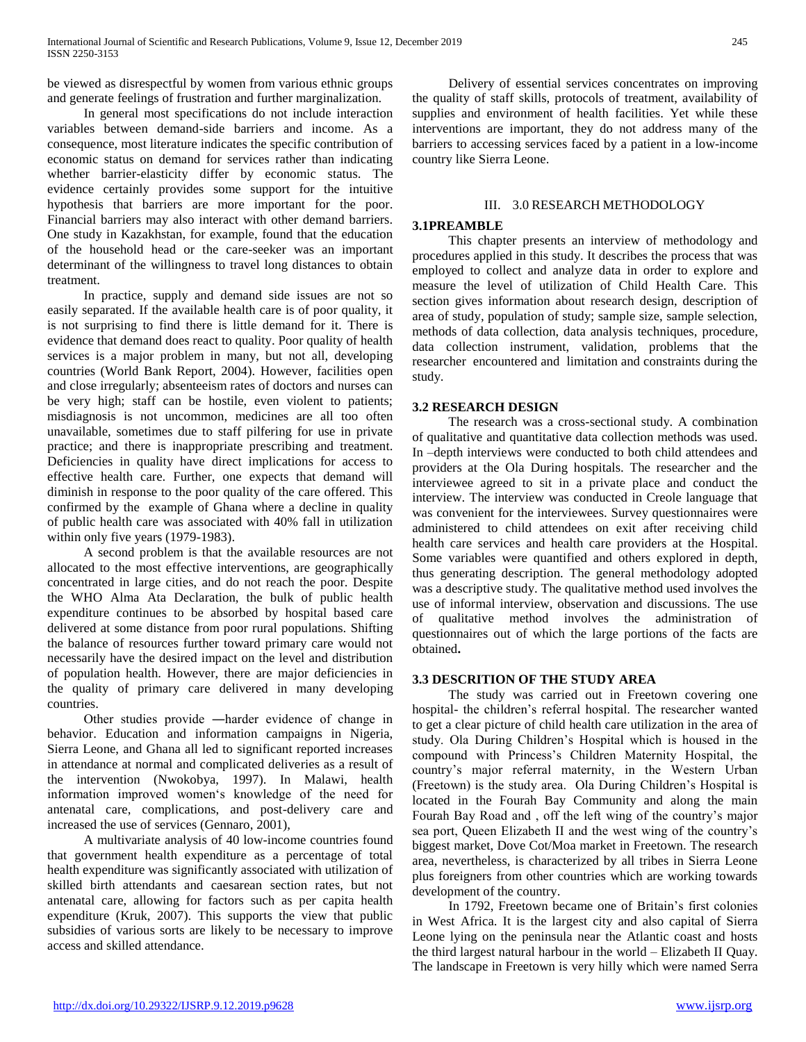be viewed as disrespectful by women from various ethnic groups and generate feelings of frustration and further marginalization.

 In general most specifications do not include interaction variables between demand-side barriers and income. As a consequence, most literature indicates the specific contribution of economic status on demand for services rather than indicating whether barrier-elasticity differ by economic status. The evidence certainly provides some support for the intuitive hypothesis that barriers are more important for the poor. Financial barriers may also interact with other demand barriers. One study in Kazakhstan, for example, found that the education of the household head or the care-seeker was an important determinant of the willingness to travel long distances to obtain treatment.

 In practice, supply and demand side issues are not so easily separated. If the available health care is of poor quality, it is not surprising to find there is little demand for it. There is evidence that demand does react to quality. Poor quality of health services is a major problem in many, but not all, developing countries (World Bank Report, 2004). However, facilities open and close irregularly; absenteeism rates of doctors and nurses can be very high; staff can be hostile, even violent to patients; misdiagnosis is not uncommon, medicines are all too often unavailable, sometimes due to staff pilfering for use in private practice; and there is inappropriate prescribing and treatment. Deficiencies in quality have direct implications for access to effective health care. Further, one expects that demand will diminish in response to the poor quality of the care offered. This confirmed by the example of Ghana where a decline in quality of public health care was associated with 40% fall in utilization within only five years (1979-1983).

 A second problem is that the available resources are not allocated to the most effective interventions, are geographically concentrated in large cities, and do not reach the poor. Despite the WHO Alma Ata Declaration, the bulk of public health expenditure continues to be absorbed by hospital based care delivered at some distance from poor rural populations. Shifting the balance of resources further toward primary care would not necessarily have the desired impact on the level and distribution of population health. However, there are major deficiencies in the quality of primary care delivered in many developing countries.

 Other studies provide ―harder evidence of change in behavior. Education and information campaigns in Nigeria, Sierra Leone, and Ghana all led to significant reported increases in attendance at normal and complicated deliveries as a result of the intervention (Nwokobya, 1997). In Malawi, health information improved women's knowledge of the need for antenatal care, complications, and post-delivery care and increased the use of services (Gennaro, 2001),

 A multivariate analysis of 40 low-income countries found that government health expenditure as a percentage of total health expenditure was significantly associated with utilization of skilled birth attendants and caesarean section rates, but not antenatal care, allowing for factors such as per capita health expenditure (Kruk, 2007). This supports the view that public subsidies of various sorts are likely to be necessary to improve access and skilled attendance.

 Delivery of essential services concentrates on improving the quality of staff skills, protocols of treatment, availability of supplies and environment of health facilities. Yet while these interventions are important, they do not address many of the barriers to accessing services faced by a patient in a low-income country like Sierra Leone.

# III. 3.0 RESEARCH METHODOLOGY

# **3.1PREAMBLE**

 This chapter presents an interview of methodology and procedures applied in this study. It describes the process that was employed to collect and analyze data in order to explore and measure the level of utilization of Child Health Care. This section gives information about research design, description of area of study, population of study; sample size, sample selection, methods of data collection, data analysis techniques, procedure, data collection instrument, validation, problems that the researcher encountered and limitation and constraints during the study.

# **3.2 RESEARCH DESIGN**

 The research was a cross-sectional study. A combination of qualitative and quantitative data collection methods was used. In –depth interviews were conducted to both child attendees and providers at the Ola During hospitals. The researcher and the interviewee agreed to sit in a private place and conduct the interview. The interview was conducted in Creole language that was convenient for the interviewees. Survey questionnaires were administered to child attendees on exit after receiving child health care services and health care providers at the Hospital. Some variables were quantified and others explored in depth, thus generating description. The general methodology adopted was a descriptive study. The qualitative method used involves the use of informal interview, observation and discussions. The use of qualitative method involves the administration of questionnaires out of which the large portions of the facts are obtained**.**

#### **3.3 DESCRITION OF THE STUDY AREA**

 The study was carried out in Freetown covering one hospital- the children's referral hospital. The researcher wanted to get a clear picture of child health care utilization in the area of study. Ola During Children's Hospital which is housed in the compound with Princess's Children Maternity Hospital, the country's major referral maternity, in the Western Urban (Freetown) is the study area. Ola During Children's Hospital is located in the Fourah Bay Community and along the main Fourah Bay Road and , off the left wing of the country's major sea port, Queen Elizabeth II and the west wing of the country's biggest market, Dove Cot/Moa market in Freetown. The research area, nevertheless, is characterized by all tribes in Sierra Leone plus foreigners from other countries which are working towards development of the country.

 In 1792, Freetown became one of Britain's first colonies in West Africa. It is the largest city and also capital of Sierra Leone lying on the peninsula near the Atlantic coast and hosts the third largest natural harbour in the world – Elizabeth II Quay. The landscape in Freetown is very hilly which were named Serra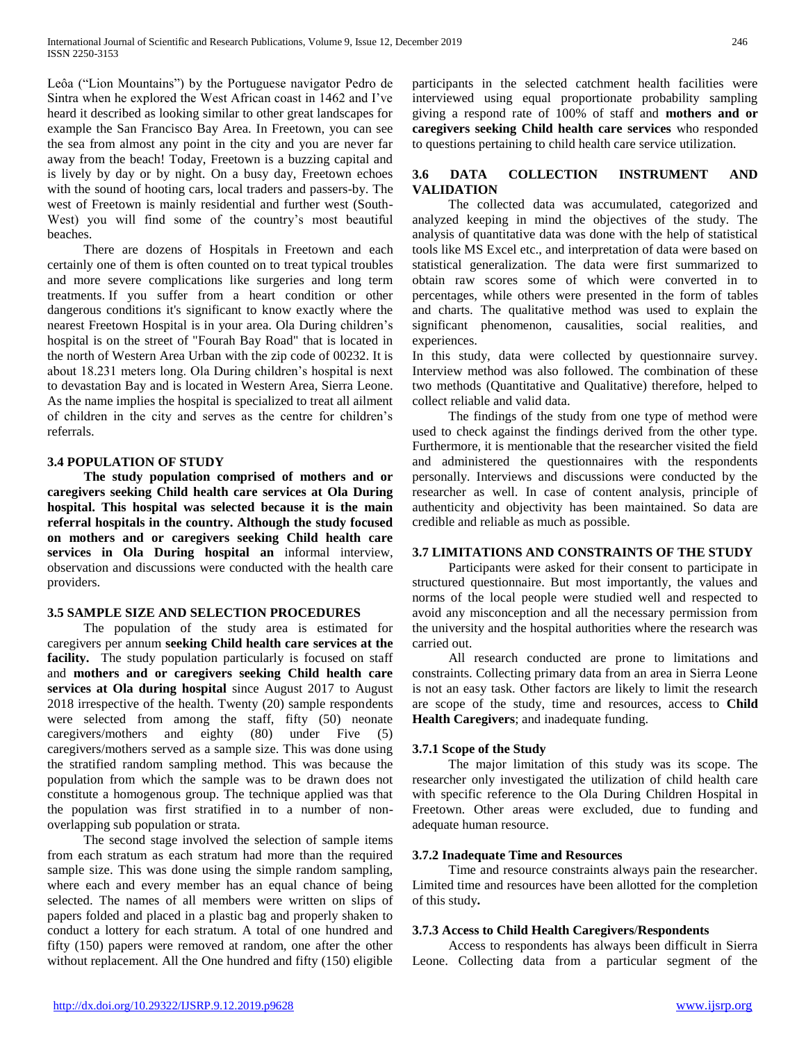Leôa ("Lion Mountains") by the Portuguese navigator Pedro de Sintra when he explored the West African coast in 1462 and I've heard it described as looking similar to other great landscapes for example the San Francisco Bay Area. In Freetown, you can see the sea from almost any point in the city and you are never far away from the beach! Today, Freetown is a buzzing capital and is lively by day or by night. On a busy day, Freetown echoes with the sound of hooting cars, local traders and passers-by. The west of Freetown is mainly residential and further west (South-West) you will find some of the country's most beautiful beaches.

 There are dozens of Hospitals in Freetown and each certainly one of them is often counted on to treat typical troubles and more severe complications like surgeries and long term treatments. If you suffer from a heart condition or other dangerous conditions it's significant to know exactly where the nearest Freetown Hospital is in your area. Ola During children's hospital is on the street of "Fourah Bay Road" that is located in the north of Western Area Urban with the zip code of 00232. It is about 18.231 meters long. Ola During children's hospital is next to devastation Bay and is located in Western Area, Sierra Leone. As the name implies the hospital is specialized to treat all ailment of children in the city and serves as the centre for children's referrals.

# **3.4 POPULATION OF STUDY**

 **The study population comprised of mothers and or caregivers seeking Child health care services at Ola During hospital. This hospital was selected because it is the main referral hospitals in the country. Although the study focused on mothers and or caregivers seeking Child health care services in Ola During hospital an** informal interview, observation and discussions were conducted with the health care providers.

#### **3.5 SAMPLE SIZE AND SELECTION PROCEDURES**

 The population of the study area is estimated for caregivers per annum **seeking Child health care services at the facility.** The study population particularly is focused on staff and **mothers and or caregivers seeking Child health care services at Ola during hospital** since August 2017 to August 2018 irrespective of the health. Twenty (20) sample respondents were selected from among the staff, fifty (50) neonate caregivers/mothers and eighty (80) under Five (5) caregivers/mothers served as a sample size. This was done using the stratified random sampling method. This was because the population from which the sample was to be drawn does not constitute a homogenous group. The technique applied was that the population was first stratified in to a number of nonoverlapping sub population or strata.

 The second stage involved the selection of sample items from each stratum as each stratum had more than the required sample size. This was done using the simple random sampling, where each and every member has an equal chance of being selected. The names of all members were written on slips of papers folded and placed in a plastic bag and properly shaken to conduct a lottery for each stratum. A total of one hundred and fifty (150) papers were removed at random, one after the other without replacement. All the One hundred and fifty (150) eligible participants in the selected catchment health facilities were interviewed using equal proportionate probability sampling giving a respond rate of 100% of staff and **mothers and or caregivers seeking Child health care services** who responded to questions pertaining to child health care service utilization.

# **3.6 DATA COLLECTION INSTRUMENT AND VALIDATION**

 The collected data was accumulated, categorized and analyzed keeping in mind the objectives of the study. The analysis of quantitative data was done with the help of statistical tools like MS Excel etc., and interpretation of data were based on statistical generalization. The data were first summarized to obtain raw scores some of which were converted in to percentages, while others were presented in the form of tables and charts. The qualitative method was used to explain the significant phenomenon, causalities, social realities, and experiences.

In this study, data were collected by questionnaire survey. Interview method was also followed. The combination of these two methods (Quantitative and Qualitative) therefore, helped to collect reliable and valid data.

 The findings of the study from one type of method were used to check against the findings derived from the other type. Furthermore, it is mentionable that the researcher visited the field and administered the questionnaires with the respondents personally. Interviews and discussions were conducted by the researcher as well. In case of content analysis, principle of authenticity and objectivity has been maintained. So data are credible and reliable as much as possible.

#### **3.7 LIMITATIONS AND CONSTRAINTS OF THE STUDY**

 Participants were asked for their consent to participate in structured questionnaire. But most importantly, the values and norms of the local people were studied well and respected to avoid any misconception and all the necessary permission from the university and the hospital authorities where the research was carried out.

 All research conducted are prone to limitations and constraints. Collecting primary data from an area in Sierra Leone is not an easy task. Other factors are likely to limit the research are scope of the study, time and resources, access to **Child Health Caregivers**; and inadequate funding.

#### **3.7.1 Scope of the Study**

 The major limitation of this study was its scope. The researcher only investigated the utilization of child health care with specific reference to the Ola During Children Hospital in Freetown. Other areas were excluded, due to funding and adequate human resource.

#### **3.7.2 Inadequate Time and Resources**

 Time and resource constraints always pain the researcher. Limited time and resources have been allotted for the completion of this study**.**

#### **3.7.3 Access to Child Health Caregivers**/**Respondents**

 Access to respondents has always been difficult in Sierra Leone. Collecting data from a particular segment of the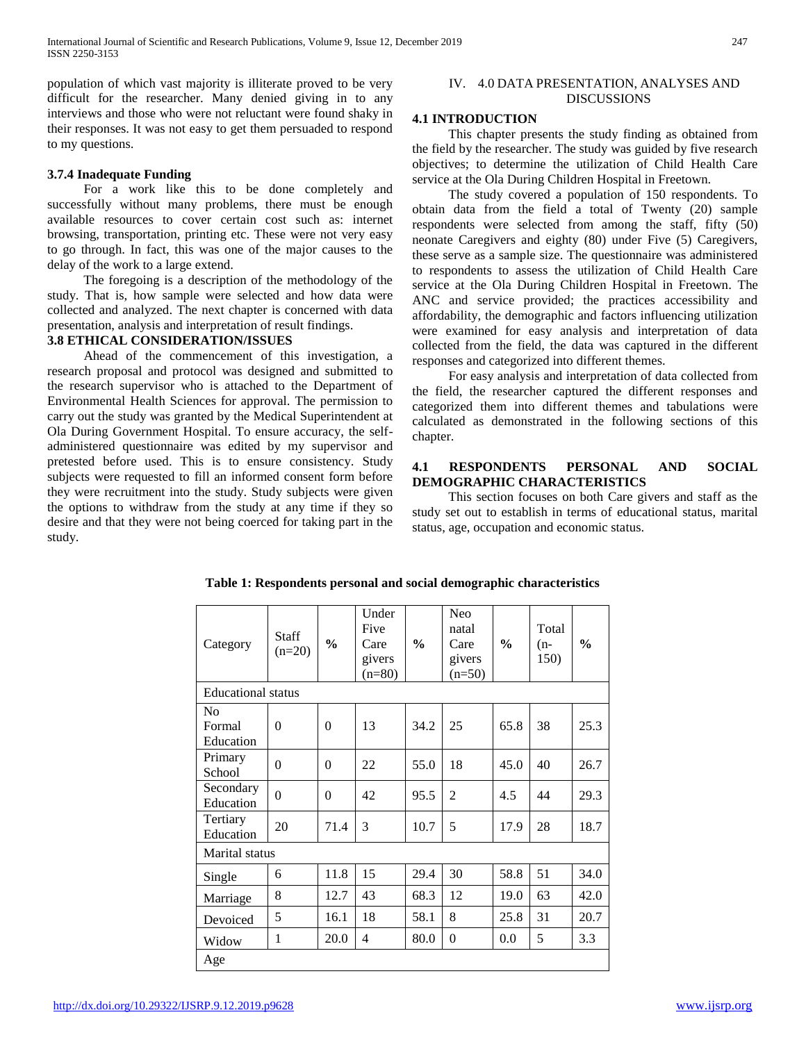population of which vast majority is illiterate proved to be very difficult for the researcher. Many denied giving in to any interviews and those who were not reluctant were found shaky in their responses. It was not easy to get them persuaded to respond to my questions.

#### **3.7.4 Inadequate Funding**

 For a work like this to be done completely and successfully without many problems, there must be enough available resources to cover certain cost such as: internet browsing, transportation, printing etc. These were not very easy to go through. In fact, this was one of the major causes to the delay of the work to a large extend.

 The foregoing is a description of the methodology of the study. That is, how sample were selected and how data were collected and analyzed. The next chapter is concerned with data presentation, analysis and interpretation of result findings.

#### **3.8 ETHICAL CONSIDERATION/ISSUES**

 Ahead of the commencement of this investigation, a research proposal and protocol was designed and submitted to the research supervisor who is attached to the Department of Environmental Health Sciences for approval. The permission to carry out the study was granted by the Medical Superintendent at Ola During Government Hospital. To ensure accuracy, the selfadministered questionnaire was edited by my supervisor and pretested before used. This is to ensure consistency. Study subjects were requested to fill an informed consent form before they were recruitment into the study. Study subjects were given the options to withdraw from the study at any time if they so desire and that they were not being coerced for taking part in the study.

#### IV. 4.0 DATA PRESENTATION, ANALYSES AND DISCUSSIONS

#### **4.1 INTRODUCTION**

 This chapter presents the study finding as obtained from the field by the researcher. The study was guided by five research objectives; to determine the utilization of Child Health Care service at the Ola During Children Hospital in Freetown.

 The study covered a population of 150 respondents. To obtain data from the field a total of Twenty (20) sample respondents were selected from among the staff, fifty (50) neonate Caregivers and eighty (80) under Five (5) Caregivers, these serve as a sample size. The questionnaire was administered to respondents to assess the utilization of Child Health Care service at the Ola During Children Hospital in Freetown. The ANC and service provided; the practices accessibility and affordability, the demographic and factors influencing utilization were examined for easy analysis and interpretation of data collected from the field, the data was captured in the different responses and categorized into different themes.

 For easy analysis and interpretation of data collected from the field, the researcher captured the different responses and categorized them into different themes and tabulations were calculated as demonstrated in the following sections of this chapter.

#### **4.1 RESPONDENTS PERSONAL AND SOCIAL DEMOGRAPHIC CHARACTERISTICS**

 This section focuses on both Care givers and staff as the study set out to establish in terms of educational status, marital status, age, occupation and economic status.

| Category                  | <b>Staff</b><br>$(n=20)$ | $\frac{0}{0}$ | Under<br>Five<br>Care<br>givers<br>$(n=80)$ | $\frac{0}{0}$ | Neo<br>natal<br>Care<br>givers<br>$(n=50)$ | $\frac{6}{9}$ | Total<br>(n-<br>150) | $\frac{6}{9}$ |
|---------------------------|--------------------------|---------------|---------------------------------------------|---------------|--------------------------------------------|---------------|----------------------|---------------|
| <b>Educational</b> status |                          |               |                                             |               |                                            |               |                      |               |
| No<br>Formal<br>Education | $\theta$                 | $\theta$      | 13                                          | 34.2          | 25                                         | 65.8          | 38                   | 25.3          |
| Primary<br>School         | $\theta$                 | $\theta$      | 22                                          | 55.0          | 18                                         | 45.0          | 40                   | 26.7          |
| Secondary<br>Education    | $\theta$                 | $\theta$      | 42                                          | 95.5          | $\overline{2}$                             | 4.5           | 44                   | 29.3          |
| Tertiary<br>Education     | 20                       | 71.4          | 3                                           | 10.7          | 5                                          | 17.9          | 28                   | 18.7          |
| Marital status            |                          |               |                                             |               |                                            |               |                      |               |
| Single                    | 6                        | 11.8          | 15                                          | 29.4          | 30                                         | 58.8          | 51                   | 34.0          |
| Marriage                  | 8                        | 12.7          | 43                                          | 68.3          | 12                                         | 19.0          | 63                   | 42.0          |
| Devoiced                  | 5                        | 16.1          | 18                                          | 58.1          | 8                                          | 25.8          | 31                   | 20.7          |
| Widow                     | $\mathbf{1}$             | 20.0          | $\overline{4}$                              | 80.0          | $\theta$                                   | 0.0           | 5                    | 3.3           |
| Age                       |                          |               |                                             |               |                                            |               |                      |               |

**Table 1: Respondents personal and social demographic characteristics**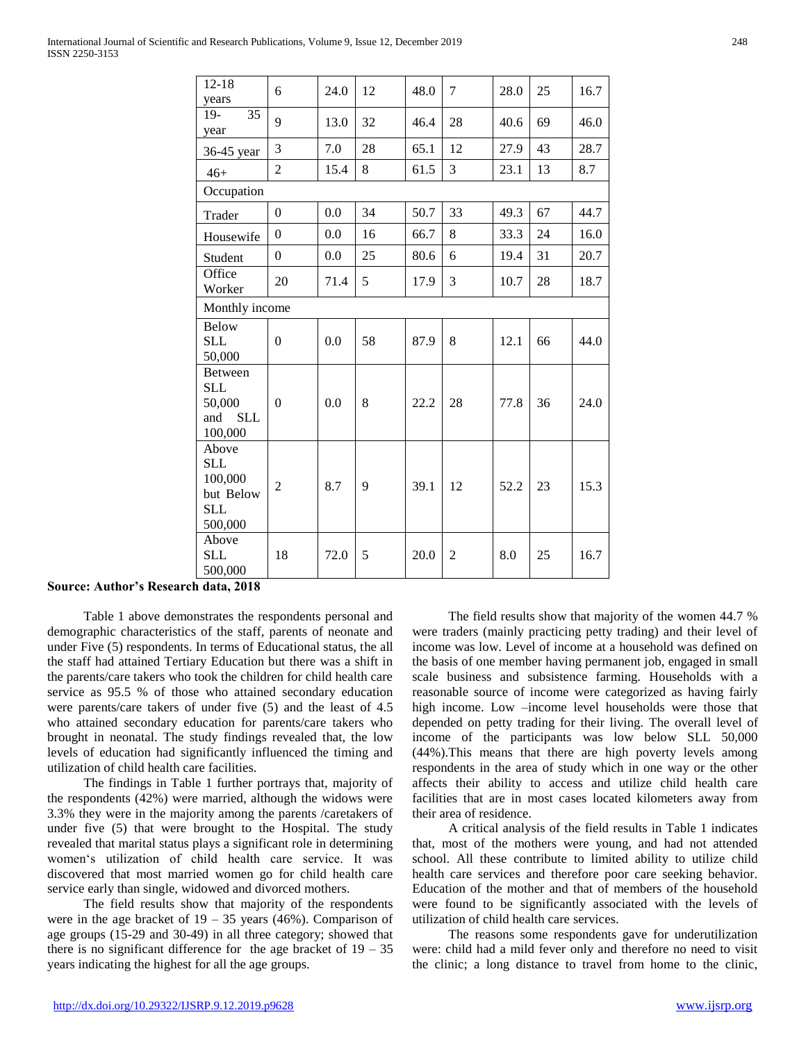| $12 - 18$<br>years                                                     | 6                | 24.0 | 12 | 48.0 | 7              | 28.0 | 25 | 16.7 |
|------------------------------------------------------------------------|------------------|------|----|------|----------------|------|----|------|
| 35<br>$19-$<br>year                                                    | 9                | 13.0 | 32 | 46.4 | 28             | 40.6 | 69 | 46.0 |
| 36-45 year                                                             | 3                | 7.0  | 28 | 65.1 | 12             | 27.9 | 43 | 28.7 |
| $46+$                                                                  | $\overline{2}$   | 15.4 | 8  | 61.5 | 3              | 23.1 | 13 | 8.7  |
| Occupation                                                             |                  |      |    |      |                |      |    |      |
| Trader                                                                 | $\boldsymbol{0}$ | 0.0  | 34 | 50.7 | 33             | 49.3 | 67 | 44.7 |
| Housewife                                                              | $\Omega$         | 0.0  | 16 | 66.7 | 8              | 33.3 | 24 | 16.0 |
| Student                                                                | $\boldsymbol{0}$ | 0.0  | 25 | 80.6 | 6              | 19.4 | 31 | 20.7 |
| Office<br>Worker                                                       | 20               | 71.4 | 5  | 17.9 | 3              | 10.7 | 28 | 18.7 |
| Monthly income                                                         |                  |      |    |      |                |      |    |      |
| Below<br><b>SLL</b><br>50,000                                          | $\boldsymbol{0}$ | 0.0  | 58 | 87.9 | 8              | 12.1 | 66 | 44.0 |
| <b>Between</b><br><b>SLL</b><br>50,000<br><b>SLL</b><br>and<br>100,000 | $\boldsymbol{0}$ | 0.0  | 8  | 22.2 | 28             | 77.8 | 36 | 24.0 |
| Above<br><b>SLL</b><br>100,000<br>but Below<br><b>SLL</b><br>500,000   | $\overline{2}$   | 8.7  | 9  | 39.1 | 12             | 52.2 | 23 | 15.3 |
| Above<br>SLL<br>500,000                                                | 18               | 72.0 | 5  | 20.0 | $\overline{c}$ | 8.0  | 25 | 16.7 |

#### **Source: Author's Research data, 2018**

 Table 1 above demonstrates the respondents personal and demographic characteristics of the staff, parents of neonate and under Five (5) respondents. In terms of Educational status, the all the staff had attained Tertiary Education but there was a shift in the parents/care takers who took the children for child health care service as 95.5 % of those who attained secondary education were parents/care takers of under five (5) and the least of 4.5 who attained secondary education for parents/care takers who brought in neonatal. The study findings revealed that, the low levels of education had significantly influenced the timing and utilization of child health care facilities.

 The findings in Table 1 further portrays that, majority of the respondents (42%) were married, although the widows were 3.3% they were in the majority among the parents /caretakers of under five (5) that were brought to the Hospital. The study revealed that marital status plays a significant role in determining women's utilization of child health care service. It was discovered that most married women go for child health care service early than single, widowed and divorced mothers.

 The field results show that majority of the respondents were in the age bracket of  $19 - 35$  years (46%). Comparison of age groups (15-29 and 30-49) in all three category; showed that there is no significant difference for the age bracket of  $19 - 35$ years indicating the highest for all the age groups.

 The field results show that majority of the women 44.7 % were traders (mainly practicing petty trading) and their level of income was low. Level of income at a household was defined on the basis of one member having permanent job, engaged in small scale business and subsistence farming. Households with a reasonable source of income were categorized as having fairly high income. Low –income level households were those that depended on petty trading for their living. The overall level of income of the participants was low below SLL 50,000 (44%).This means that there are high poverty levels among respondents in the area of study which in one way or the other affects their ability to access and utilize child health care facilities that are in most cases located kilometers away from their area of residence.

 A critical analysis of the field results in Table 1 indicates that, most of the mothers were young, and had not attended school. All these contribute to limited ability to utilize child health care services and therefore poor care seeking behavior. Education of the mother and that of members of the household were found to be significantly associated with the levels of utilization of child health care services.

 The reasons some respondents gave for underutilization were: child had a mild fever only and therefore no need to visit the clinic; a long distance to travel from home to the clinic,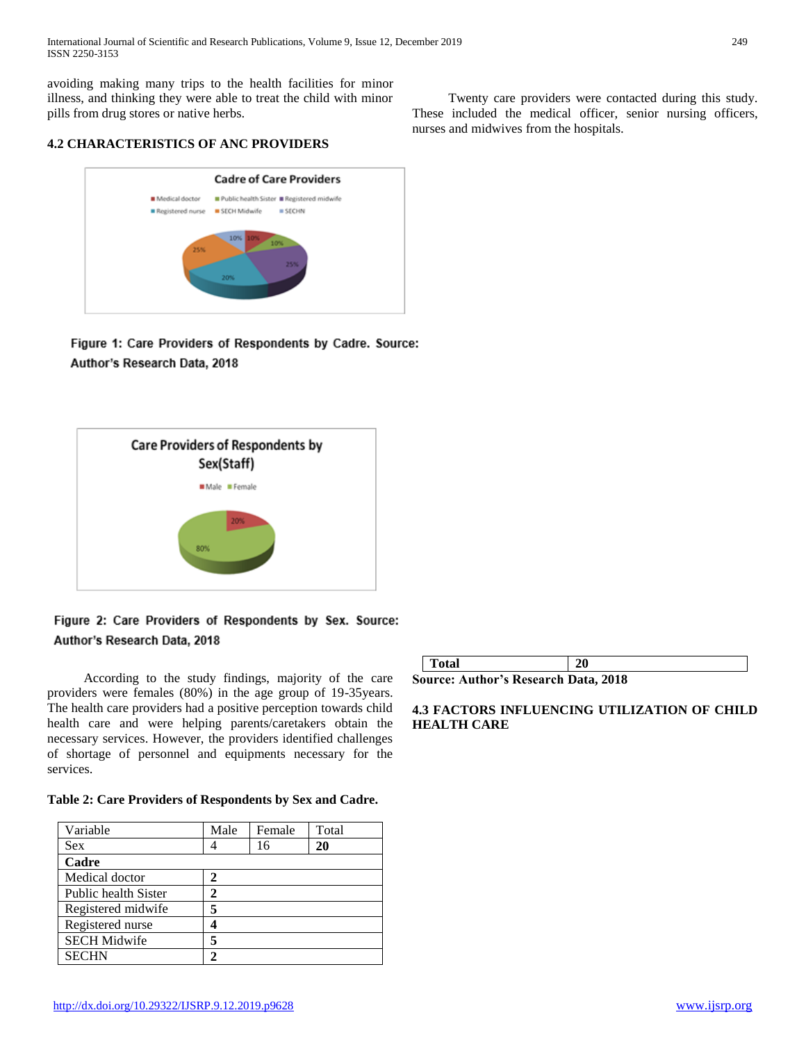International Journal of Scientific and Research Publications, Volume 9, Issue 12, December 2019 249 ISSN 2250-3153

avoiding making many trips to the health facilities for minor illness, and thinking they were able to treat the child with minor pills from drug stores or native herbs.

**4.2 CHARACTERISTICS OF ANC PROVIDERS** 



Figure 1: Care Providers of Respondents by Cadre. Source: Author's Research Data, 2018



# Figure 2: Care Providers of Respondents by Sex. Source: Author's Research Data, 2018

 According to the study findings, majority of the care providers were females (80%) in the age group of 19-35years. The health care providers had a positive perception towards child health care and were helping parents/caretakers obtain the necessary services. However, the providers identified challenges of shortage of personnel and equipments necessary for the services.

#### **Table 2: Care Providers of Respondents by Sex and Cadre.**

| Variable             | Male | Female | Total |
|----------------------|------|--------|-------|
| <b>Sex</b>           |      | 16     | 20    |
| Cadre                |      |        |       |
| Medical doctor       | 2    |        |       |
| Public health Sister | 2    |        |       |
| Registered midwife   | 5    |        |       |
| Registered nurse     |      |        |       |
| <b>SECH Midwife</b>  | 5    |        |       |
| <b>SECHN</b>         | 2    |        |       |

| Total                                       | 20 |
|---------------------------------------------|----|
| <b>Source: Author's Research Data, 2018</b> |    |

# **4.3 FACTORS INFLUENCING UTILIZATION OF CHILD HEALTH CARE**

 Twenty care providers were contacted during this study. These included the medical officer, senior nursing officers, nurses and midwives from the hospitals.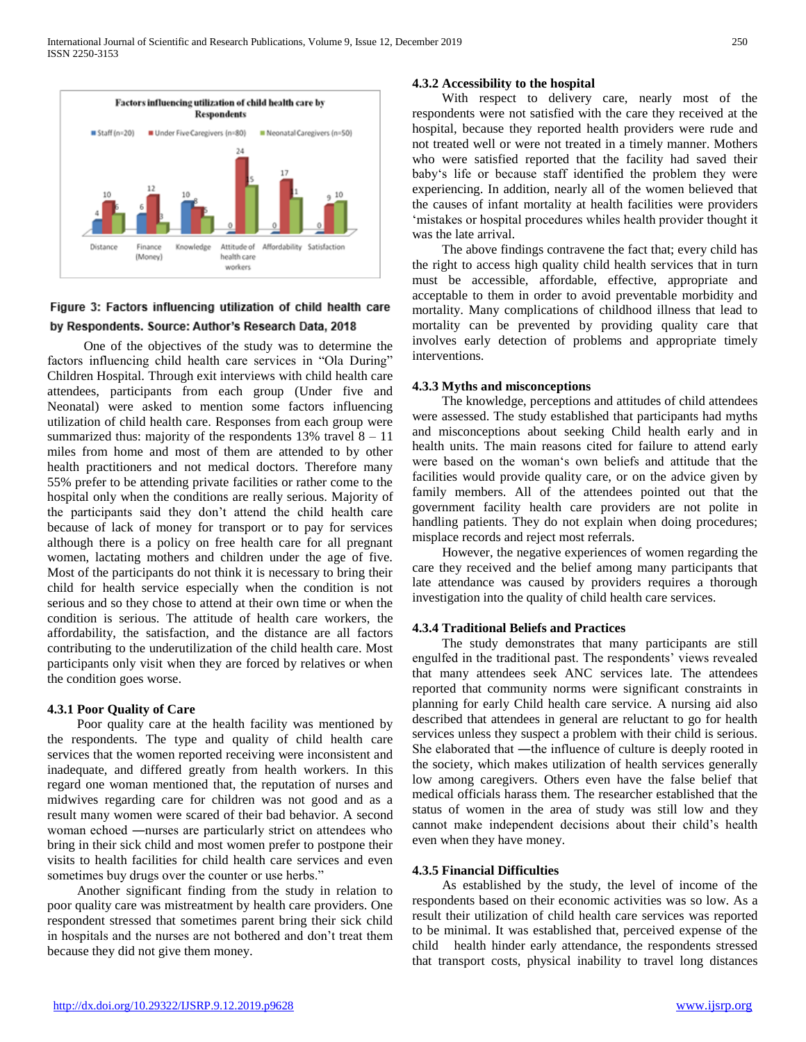

# Figure 3: Factors influencing utilization of child health care by Respondents. Source: Author's Research Data, 2018

 One of the objectives of the study was to determine the factors influencing child health care services in "Ola During" Children Hospital. Through exit interviews with child health care attendees, participants from each group (Under five and Neonatal) were asked to mention some factors influencing utilization of child health care. Responses from each group were summarized thus: majority of the respondents  $13\%$  travel  $8 - 11$ miles from home and most of them are attended to by other health practitioners and not medical doctors. Therefore many 55% prefer to be attending private facilities or rather come to the hospital only when the conditions are really serious. Majority of the participants said they don't attend the child health care because of lack of money for transport or to pay for services although there is a policy on free health care for all pregnant women, lactating mothers and children under the age of five. Most of the participants do not think it is necessary to bring their child for health service especially when the condition is not serious and so they chose to attend at their own time or when the condition is serious. The attitude of health care workers, the affordability, the satisfaction, and the distance are all factors contributing to the underutilization of the child health care. Most participants only visit when they are forced by relatives or when the condition goes worse.

# **4.3.1 Poor Quality of Care**

 Poor quality care at the health facility was mentioned by the respondents. The type and quality of child health care services that the women reported receiving were inconsistent and inadequate, and differed greatly from health workers. In this regard one woman mentioned that, the reputation of nurses and midwives regarding care for children was not good and as a result many women were scared of their bad behavior. A second woman echoed ―nurses are particularly strict on attendees who bring in their sick child and most women prefer to postpone their visits to health facilities for child health care services and even sometimes buy drugs over the counter or use herbs."

 Another significant finding from the study in relation to poor quality care was mistreatment by health care providers. One respondent stressed that sometimes parent bring their sick child in hospitals and the nurses are not bothered and don't treat them because they did not give them money.

# **4.3.2 Accessibility to the hospital**

 With respect to delivery care, nearly most of the respondents were not satisfied with the care they received at the hospital, because they reported health providers were rude and not treated well or were not treated in a timely manner. Mothers who were satisfied reported that the facility had saved their baby's life or because staff identified the problem they were experiencing. In addition, nearly all of the women believed that the causes of infant mortality at health facilities were providers 'mistakes or hospital procedures whiles health provider thought it was the late arrival.

 The above findings contravene the fact that; every child has the right to access high quality child health services that in turn must be accessible, affordable, effective, appropriate and acceptable to them in order to avoid preventable morbidity and mortality. Many complications of childhood illness that lead to mortality can be prevented by providing quality care that involves early detection of problems and appropriate timely interventions.

# **4.3.3 Myths and misconceptions**

 The knowledge, perceptions and attitudes of child attendees were assessed. The study established that participants had myths and misconceptions about seeking Child health early and in health units. The main reasons cited for failure to attend early were based on the woman's own beliefs and attitude that the facilities would provide quality care, or on the advice given by family members. All of the attendees pointed out that the government facility health care providers are not polite in handling patients. They do not explain when doing procedures; misplace records and reject most referrals.

 However, the negative experiences of women regarding the care they received and the belief among many participants that late attendance was caused by providers requires a thorough investigation into the quality of child health care services.

#### **4.3.4 Traditional Beliefs and Practices**

 The study demonstrates that many participants are still engulfed in the traditional past. The respondents' views revealed that many attendees seek ANC services late. The attendees reported that community norms were significant constraints in planning for early Child health care service. A nursing aid also described that attendees in general are reluctant to go for health services unless they suspect a problem with their child is serious. She elaborated that ―the influence of culture is deeply rooted in the society, which makes utilization of health services generally low among caregivers. Others even have the false belief that medical officials harass them. The researcher established that the status of women in the area of study was still low and they cannot make independent decisions about their child's health even when they have money.

#### **4.3.5 Financial Difficulties**

 As established by the study, the level of income of the respondents based on their economic activities was so low. As a result their utilization of child health care services was reported to be minimal. It was established that, perceived expense of the child health hinder early attendance, the respondents stressed that transport costs, physical inability to travel long distances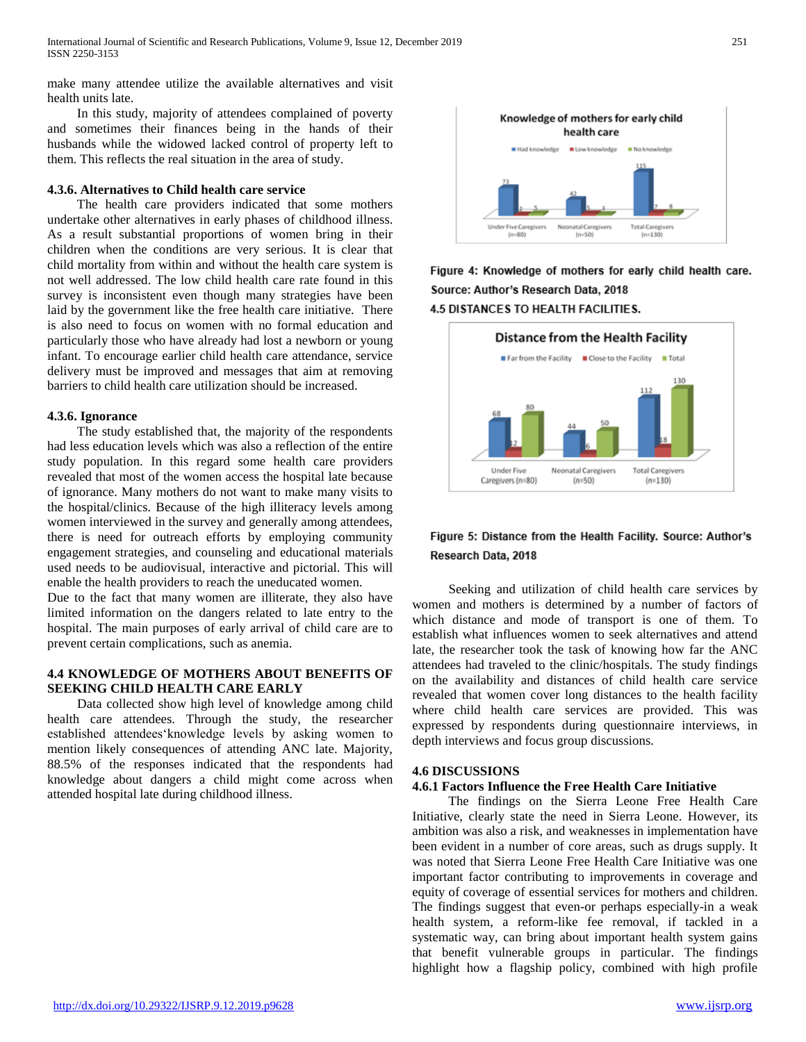make many attendee utilize the available alternatives and visit health units late.

 In this study, majority of attendees complained of poverty and sometimes their finances being in the hands of their husbands while the widowed lacked control of property left to them. This reflects the real situation in the area of study.

#### **4.3.6. Alternatives to Child health care service**

 The health care providers indicated that some mothers undertake other alternatives in early phases of childhood illness. As a result substantial proportions of women bring in their children when the conditions are very serious. It is clear that child mortality from within and without the health care system is not well addressed. The low child health care rate found in this survey is inconsistent even though many strategies have been laid by the government like the free health care initiative. There is also need to focus on women with no formal education and particularly those who have already had lost a newborn or young infant. To encourage earlier child health care attendance, service delivery must be improved and messages that aim at removing barriers to child health care utilization should be increased.

#### **4.3.6. Ignorance**

 The study established that, the majority of the respondents had less education levels which was also a reflection of the entire study population. In this regard some health care providers revealed that most of the women access the hospital late because of ignorance. Many mothers do not want to make many visits to the hospital/clinics. Because of the high illiteracy levels among women interviewed in the survey and generally among attendees, there is need for outreach efforts by employing community engagement strategies, and counseling and educational materials used needs to be audiovisual, interactive and pictorial. This will enable the health providers to reach the uneducated women.

Due to the fact that many women are illiterate, they also have limited information on the dangers related to late entry to the hospital. The main purposes of early arrival of child care are to prevent certain complications, such as anemia.

# **4.4 KNOWLEDGE OF MOTHERS ABOUT BENEFITS OF SEEKING CHILD HEALTH CARE EARLY**

 Data collected show high level of knowledge among child health care attendees. Through the study, the researcher established attendees'knowledge levels by asking women to mention likely consequences of attending ANC late. Majority, 88.5% of the responses indicated that the respondents had knowledge about dangers a child might come across when attended hospital late during childhood illness.



Figure 4: Knowledge of mothers for early child health care. Source: Author's Research Data, 2018 **4.5 DISTANCES TO HEALTH FACILITIES.** 



# Figure 5: Distance from the Health Facility. Source: Author's Research Data, 2018

 Seeking and utilization of child health care services by women and mothers is determined by a number of factors of which distance and mode of transport is one of them. To establish what influences women to seek alternatives and attend late, the researcher took the task of knowing how far the ANC attendees had traveled to the clinic/hospitals. The study findings on the availability and distances of child health care service revealed that women cover long distances to the health facility where child health care services are provided. This was expressed by respondents during questionnaire interviews, in depth interviews and focus group discussions.

#### **4.6 DISCUSSIONS**

#### **4.6.1 Factors Influence the Free Health Care Initiative**

 The findings on the Sierra Leone Free Health Care Initiative, clearly state the need in Sierra Leone. However, its ambition was also a risk, and weaknesses in implementation have been evident in a number of core areas, such as drugs supply. It was noted that Sierra Leone Free Health Care Initiative was one important factor contributing to improvements in coverage and equity of coverage of essential services for mothers and children. The findings suggest that even-or perhaps especially-in a weak health system, a reform-like fee removal, if tackled in a systematic way, can bring about important health system gains that benefit vulnerable groups in particular. The findings highlight how a flagship policy, combined with high profile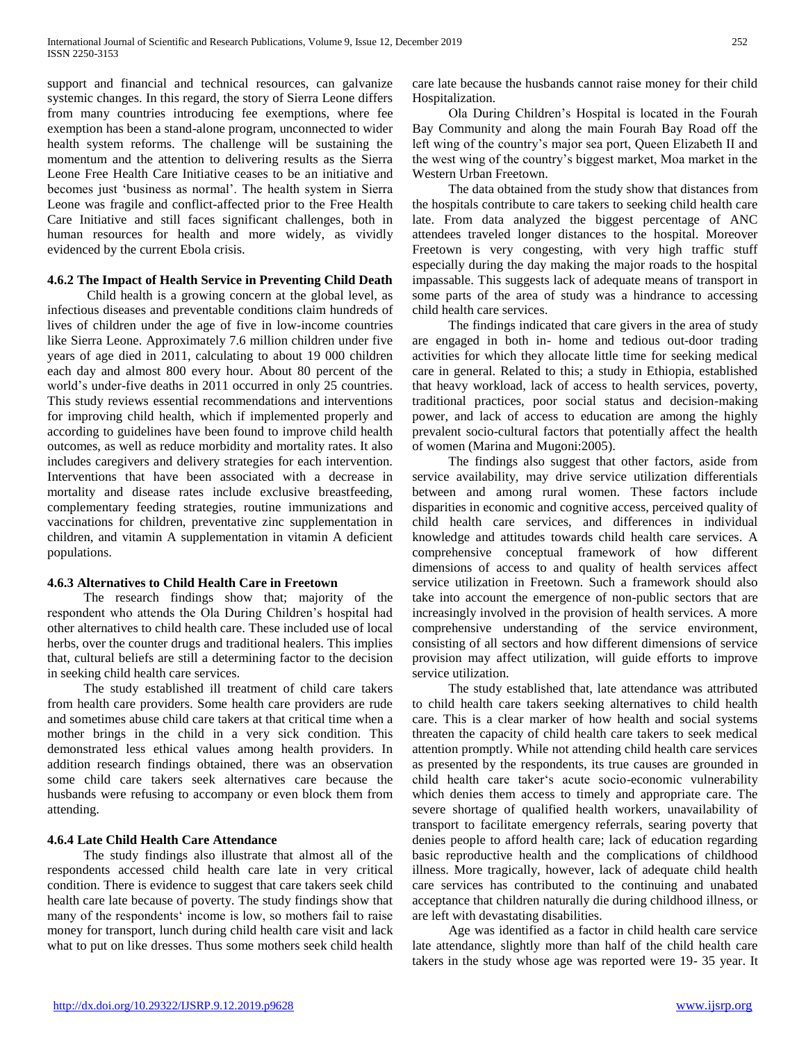support and financial and technical resources, can galvanize systemic changes. In this regard, the story of Sierra Leone differs from many countries introducing fee exemptions, where fee exemption has been a stand-alone program, unconnected to wider health system reforms. The challenge will be sustaining the momentum and the attention to delivering results as the Sierra Leone Free Health Care Initiative ceases to be an initiative and becomes just 'business as normal'. The health system in Sierra Leone was fragile and conflict-affected prior to the Free Health Care Initiative and still faces significant challenges, both in human resources for health and more widely, as vividly evidenced by the current Ebola crisis.

#### **4.6.2 The Impact of Health Service in Preventing Child Death**

 Child health is a growing concern at the global level, as infectious diseases and preventable conditions claim hundreds of lives of children under the age of five in low-income countries like Sierra Leone. Approximately 7.6 million children under five years of age died in 2011, calculating to about 19 000 children each day and almost 800 every hour. About 80 percent of the world's under-five deaths in 2011 occurred in only 25 countries. This study reviews essential recommendations and interventions for improving child health, which if implemented properly and according to guidelines have been found to improve child health outcomes, as well as reduce morbidity and mortality rates. It also includes caregivers and delivery strategies for each intervention. Interventions that have been associated with a decrease in mortality and disease rates include exclusive breastfeeding, complementary feeding strategies, routine immunizations and vaccinations for children, preventative zinc supplementation in children, and vitamin A supplementation in vitamin A deficient populations.

#### **4.6.3 Alternatives to Child Health Care in Freetown**

 The research findings show that; majority of the respondent who attends the Ola During Children's hospital had other alternatives to child health care. These included use of local herbs, over the counter drugs and traditional healers. This implies that, cultural beliefs are still a determining factor to the decision in seeking child health care services.

 The study established ill treatment of child care takers from health care providers. Some health care providers are rude and sometimes abuse child care takers at that critical time when a mother brings in the child in a very sick condition. This demonstrated less ethical values among health providers. In addition research findings obtained, there was an observation some child care takers seek alternatives care because the husbands were refusing to accompany or even block them from attending.

#### **4.6.4 Late Child Health Care Attendance**

 The study findings also illustrate that almost all of the respondents accessed child health care late in very critical condition. There is evidence to suggest that care takers seek child health care late because of poverty. The study findings show that many of the respondents' income is low, so mothers fail to raise money for transport, lunch during child health care visit and lack what to put on like dresses. Thus some mothers seek child health care late because the husbands cannot raise money for their child Hospitalization.

 Ola During Children's Hospital is located in the Fourah Bay Community and along the main Fourah Bay Road off the left wing of the country's major sea port, Queen Elizabeth II and the west wing of the country's biggest market, Moa market in the Western Urban Freetown.

 The data obtained from the study show that distances from the hospitals contribute to care takers to seeking child health care late. From data analyzed the biggest percentage of ANC attendees traveled longer distances to the hospital. Moreover Freetown is very congesting, with very high traffic stuff especially during the day making the major roads to the hospital impassable. This suggests lack of adequate means of transport in some parts of the area of study was a hindrance to accessing child health care services.

 The findings indicated that care givers in the area of study are engaged in both in- home and tedious out-door trading activities for which they allocate little time for seeking medical care in general. Related to this; a study in Ethiopia, established that heavy workload, lack of access to health services, poverty, traditional practices, poor social status and decision-making power, and lack of access to education are among the highly prevalent socio-cultural factors that potentially affect the health of women (Marina and Mugoni:2005).

 The findings also suggest that other factors, aside from service availability, may drive service utilization differentials between and among rural women. These factors include disparities in economic and cognitive access, perceived quality of child health care services, and differences in individual knowledge and attitudes towards child health care services. A comprehensive conceptual framework of how different dimensions of access to and quality of health services affect service utilization in Freetown. Such a framework should also take into account the emergence of non-public sectors that are increasingly involved in the provision of health services. A more comprehensive understanding of the service environment, consisting of all sectors and how different dimensions of service provision may affect utilization, will guide efforts to improve service utilization.

 The study established that, late attendance was attributed to child health care takers seeking alternatives to child health care. This is a clear marker of how health and social systems threaten the capacity of child health care takers to seek medical attention promptly. While not attending child health care services as presented by the respondents, its true causes are grounded in child health care taker's acute socio-economic vulnerability which denies them access to timely and appropriate care. The severe shortage of qualified health workers, unavailability of transport to facilitate emergency referrals, searing poverty that denies people to afford health care; lack of education regarding basic reproductive health and the complications of childhood illness. More tragically, however, lack of adequate child health care services has contributed to the continuing and unabated acceptance that children naturally die during childhood illness, or are left with devastating disabilities.

 Age was identified as a factor in child health care service late attendance, slightly more than half of the child health care takers in the study whose age was reported were 19- 35 year. It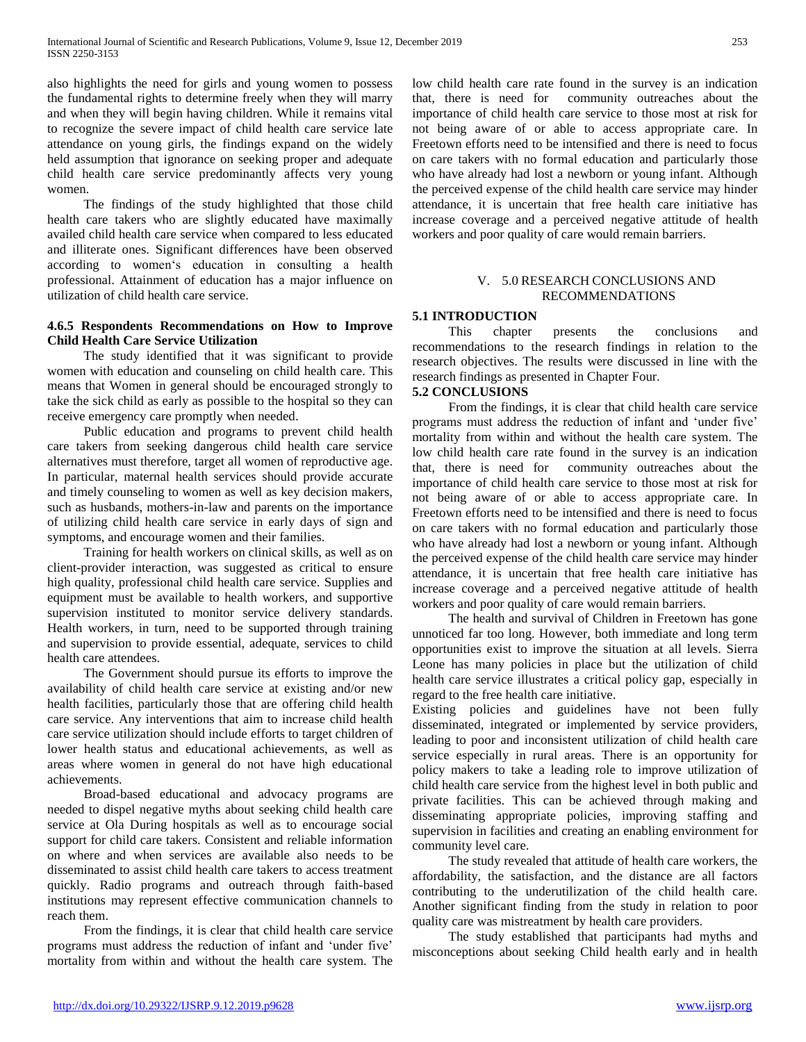also highlights the need for girls and young women to possess the fundamental rights to determine freely when they will marry and when they will begin having children. While it remains vital to recognize the severe impact of child health care service late attendance on young girls, the findings expand on the widely held assumption that ignorance on seeking proper and adequate child health care service predominantly affects very young women.

 The findings of the study highlighted that those child health care takers who are slightly educated have maximally availed child health care service when compared to less educated and illiterate ones. Significant differences have been observed according to women's education in consulting a health professional. Attainment of education has a major influence on utilization of child health care service.

# **4.6.5 Respondents Recommendations on How to Improve Child Health Care Service Utilization**

 The study identified that it was significant to provide women with education and counseling on child health care. This means that Women in general should be encouraged strongly to take the sick child as early as possible to the hospital so they can receive emergency care promptly when needed.

 Public education and programs to prevent child health care takers from seeking dangerous child health care service alternatives must therefore, target all women of reproductive age. In particular, maternal health services should provide accurate and timely counseling to women as well as key decision makers, such as husbands, mothers-in-law and parents on the importance of utilizing child health care service in early days of sign and symptoms, and encourage women and their families.

 Training for health workers on clinical skills, as well as on client-provider interaction, was suggested as critical to ensure high quality, professional child health care service. Supplies and equipment must be available to health workers, and supportive supervision instituted to monitor service delivery standards. Health workers, in turn, need to be supported through training and supervision to provide essential, adequate, services to child health care attendees.

 The Government should pursue its efforts to improve the availability of child health care service at existing and/or new health facilities, particularly those that are offering child health care service. Any interventions that aim to increase child health care service utilization should include efforts to target children of lower health status and educational achievements, as well as areas where women in general do not have high educational achievements.

 Broad-based educational and advocacy programs are needed to dispel negative myths about seeking child health care service at Ola During hospitals as well as to encourage social support for child care takers. Consistent and reliable information on where and when services are available also needs to be disseminated to assist child health care takers to access treatment quickly. Radio programs and outreach through faith-based institutions may represent effective communication channels to reach them.

 From the findings, it is clear that child health care service programs must address the reduction of infant and 'under five' mortality from within and without the health care system. The low child health care rate found in the survey is an indication that, there is need for community outreaches about the importance of child health care service to those most at risk for not being aware of or able to access appropriate care. In Freetown efforts need to be intensified and there is need to focus on care takers with no formal education and particularly those who have already had lost a newborn or young infant. Although the perceived expense of the child health care service may hinder attendance, it is uncertain that free health care initiative has increase coverage and a perceived negative attitude of health workers and poor quality of care would remain barriers.

# V. 5.0 RESEARCH CONCLUSIONS AND RECOMMENDATIONS

# **5.1 INTRODUCTION**

 This chapter presents the conclusions and recommendations to the research findings in relation to the research objectives. The results were discussed in line with the research findings as presented in Chapter Four.

#### **5.2 CONCLUSIONS**

 From the findings, it is clear that child health care service programs must address the reduction of infant and 'under five' mortality from within and without the health care system. The low child health care rate found in the survey is an indication that, there is need for community outreaches about the importance of child health care service to those most at risk for not being aware of or able to access appropriate care. In Freetown efforts need to be intensified and there is need to focus on care takers with no formal education and particularly those who have already had lost a newborn or young infant. Although the perceived expense of the child health care service may hinder attendance, it is uncertain that free health care initiative has increase coverage and a perceived negative attitude of health workers and poor quality of care would remain barriers.

 The health and survival of Children in Freetown has gone unnoticed far too long. However, both immediate and long term opportunities exist to improve the situation at all levels. Sierra Leone has many policies in place but the utilization of child health care service illustrates a critical policy gap, especially in regard to the free health care initiative.

Existing policies and guidelines have not been fully disseminated, integrated or implemented by service providers, leading to poor and inconsistent utilization of child health care service especially in rural areas. There is an opportunity for policy makers to take a leading role to improve utilization of child health care service from the highest level in both public and private facilities. This can be achieved through making and disseminating appropriate policies, improving staffing and supervision in facilities and creating an enabling environment for community level care.

 The study revealed that attitude of health care workers, the affordability, the satisfaction, and the distance are all factors contributing to the underutilization of the child health care. Another significant finding from the study in relation to poor quality care was mistreatment by health care providers.

 The study established that participants had myths and misconceptions about seeking Child health early and in health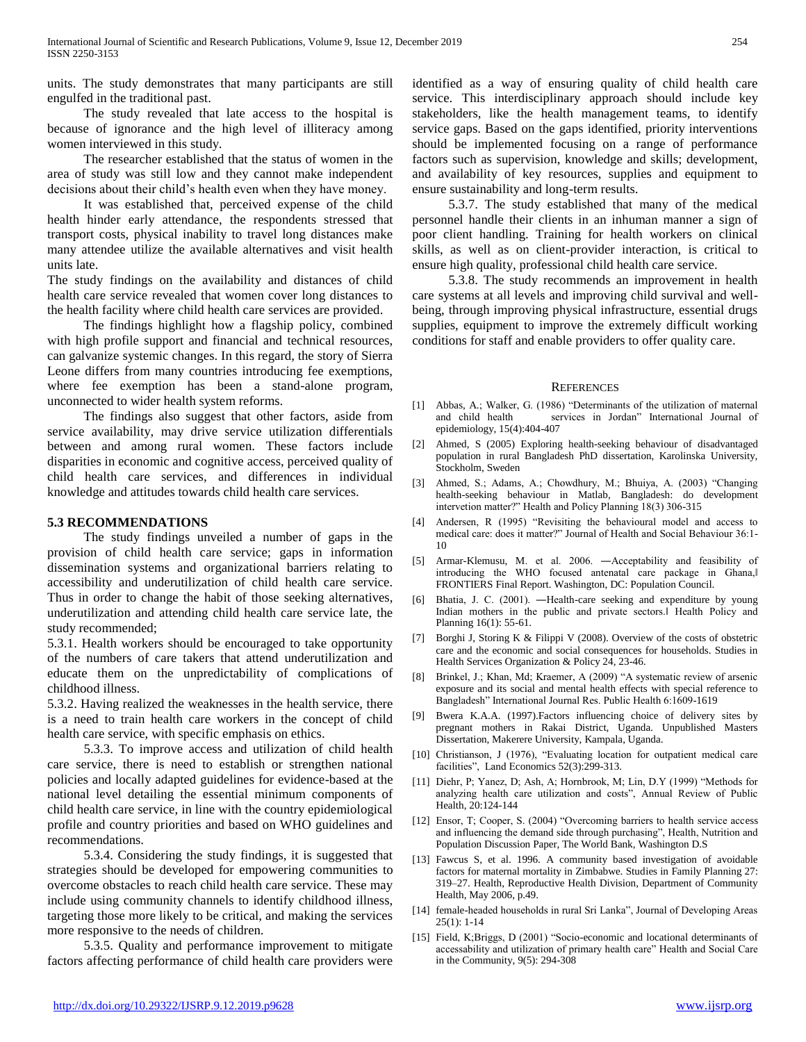units. The study demonstrates that many participants are still engulfed in the traditional past.

 The study revealed that late access to the hospital is because of ignorance and the high level of illiteracy among women interviewed in this study.

 The researcher established that the status of women in the area of study was still low and they cannot make independent decisions about their child's health even when they have money.

 It was established that, perceived expense of the child health hinder early attendance, the respondents stressed that transport costs, physical inability to travel long distances make many attendee utilize the available alternatives and visit health units late.

The study findings on the availability and distances of child health care service revealed that women cover long distances to the health facility where child health care services are provided.

 The findings highlight how a flagship policy, combined with high profile support and financial and technical resources, can galvanize systemic changes. In this regard, the story of Sierra Leone differs from many countries introducing fee exemptions, where fee exemption has been a stand-alone program, unconnected to wider health system reforms.

 The findings also suggest that other factors, aside from service availability, may drive service utilization differentials between and among rural women. These factors include disparities in economic and cognitive access, perceived quality of child health care services, and differences in individual knowledge and attitudes towards child health care services.

#### **5.3 RECOMMENDATIONS**

 The study findings unveiled a number of gaps in the provision of child health care service; gaps in information dissemination systems and organizational barriers relating to accessibility and underutilization of child health care service. Thus in order to change the habit of those seeking alternatives, underutilization and attending child health care service late, the study recommended;

5.3.1. Health workers should be encouraged to take opportunity of the numbers of care takers that attend underutilization and educate them on the unpredictability of complications of childhood illness.

5.3.2. Having realized the weaknesses in the health service, there is a need to train health care workers in the concept of child health care service, with specific emphasis on ethics.

 5.3.3. To improve access and utilization of child health care service, there is need to establish or strengthen national policies and locally adapted guidelines for evidence-based at the national level detailing the essential minimum components of child health care service, in line with the country epidemiological profile and country priorities and based on WHO guidelines and recommendations.

 5.3.4. Considering the study findings, it is suggested that strategies should be developed for empowering communities to overcome obstacles to reach child health care service. These may include using community channels to identify childhood illness, targeting those more likely to be critical, and making the services more responsive to the needs of children.

 5.3.5. Quality and performance improvement to mitigate factors affecting performance of child health care providers were identified as a way of ensuring quality of child health care service. This interdisciplinary approach should include key stakeholders, like the health management teams, to identify service gaps. Based on the gaps identified, priority interventions should be implemented focusing on a range of performance factors such as supervision, knowledge and skills; development, and availability of key resources, supplies and equipment to ensure sustainability and long-term results.

 5.3.7. The study established that many of the medical personnel handle their clients in an inhuman manner a sign of poor client handling. Training for health workers on clinical skills, as well as on client-provider interaction, is critical to ensure high quality, professional child health care service.

 5.3.8. The study recommends an improvement in health care systems at all levels and improving child survival and wellbeing, through improving physical infrastructure, essential drugs supplies, equipment to improve the extremely difficult working conditions for staff and enable providers to offer quality care.

#### **REFERENCES**

- [1] Abbas, A.; Walker, G. (1986) "Determinants of the utilization of maternal and child health services in Jordan" International Journal of epidemiology, 15(4):404-407
- [2] Ahmed, S (2005) Exploring health-seeking behaviour of disadvantaged population in rural Bangladesh PhD dissertation, Karolinska University, Stockholm, Sweden
- [3] Ahmed, S.; Adams, A.; Chowdhury, M.; Bhuiya, A. (2003) "Changing health-seeking behaviour in Matlab, Bangladesh: do development intervetion matter?" Health and Policy Planning 18(3) 306-315
- [4] Andersen, R (1995) "Revisiting the behavioural model and access to medical care: does it matter?" Journal of Health and Social Behaviour 36:1- 10
- [5] Armar-Klemusu, M. et al. 2006. ―Acceptability and feasibility of introducing the WHO focused antenatal care package in Ghana, FRONTIERS Final Report. Washington, DC: Population Council.
- [6] Bhatia, J. C. (2001). ―Health-care seeking and expenditure by young Indian mothers in the public and private sectors.‖ Health Policy and Planning 16(1): 55-61.
- [7] Borghi J, Storing K & Filippi V (2008). Overview of the costs of obstetric care and the economic and social consequences for households. Studies in Health Services Organization & Policy 24, 23-46.
- [8] Brinkel, J.; Khan, Md; Kraemer, A (2009) "A systematic review of arsenic exposure and its social and mental health effects with special reference to Bangladesh" International Journal Res. Public Health 6:1609-1619
- [9] Bwera K.A.A. (1997).Factors influencing choice of delivery sites by pregnant mothers in Rakai District, Uganda. Unpublished Masters Dissertation, Makerere University, Kampala, Uganda.
- [10] Christianson, J (1976), "Evaluating location for outpatient medical care facilities", Land Economics 52(3):299-313.
- [11] Diehr, P; Yanez, D; Ash, A; Hornbrook, M; Lin, D.Y (1999) "Methods for analyzing health care utilization and costs", Annual Review of Public Health, 20:124-144
- [12] Ensor, T; Cooper, S. (2004) "Overcoming barriers to health service access and influencing the demand side through purchasing", Health, Nutrition and Population Discussion Paper, The World Bank, Washington D.S
- [13] Fawcus S, et al. 1996. A community based investigation of avoidable factors for maternal mortality in Zimbabwe. Studies in Family Planning 27: 319–27. Health, Reproductive Health Division, Department of Community Health, May 2006, p.49.
- [14] female-headed households in rural Sri Lanka", Journal of Developing Areas 25(1): 1-14
- [15] Field, K;Briggs, D (2001) "Socio-economic and locational determinants of accessability and utilization of primary health care" Health and Social Care in the Community, 9(5): 294-308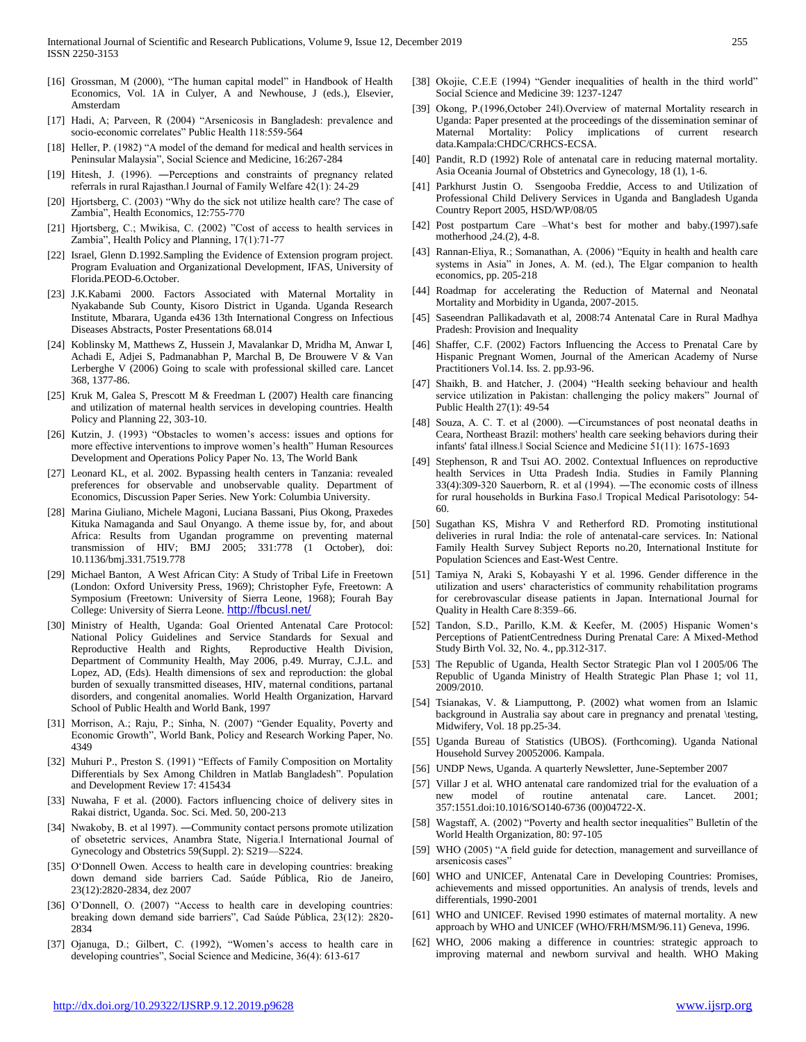- [16] Grossman, M (2000), "The human capital model" in Handbook of Health Economics, Vol. 1A in Culyer, A and Newhouse, J (eds.), Elsevier, Amsterdam
- [17] Hadi, A; Parveen, R (2004) "Arsenicosis in Bangladesh: prevalence and socio-economic correlates" Public Health 118:559-564
- [18] Heller, P. (1982) "A model of the demand for medical and health services in Peninsular Malaysia", Social Science and Medicine, 16:267-284
- [19] Hitesh, J. (1996). ―Perceptions and constraints of pregnancy related referrals in rural Rajasthan.‖ Journal of Family Welfare 42(1): 24-29
- [20] Hjortsberg, C. (2003) "Why do the sick not utilize health care? The case of Zambia", Health Economics, 12:755-770
- [21] Hjortsberg, C.; Mwikisa, C. (2002) "Cost of access to health services in Zambia", Health Policy and Planning, 17(1):71-77
- [22] Israel, Glenn D.1992.Sampling the Evidence of Extension program project. Program Evaluation and Organizational Development, IFAS, University of Florida.PEOD-6.October.
- [23] J.K.Kabami 2000. Factors Associated with Maternal Mortality in Nyakabande Sub County, Kisoro District in Uganda. Uganda Research Institute, Mbarara, Uganda e436 13th International Congress on Infectious Diseases Abstracts, Poster Presentations 68.014
- [24] Koblinsky M, Matthews Z, Hussein J, Mavalankar D, Mridha M, Anwar I, Achadi E, Adjei S, Padmanabhan P, Marchal B, De Brouwere V & Van Lerberghe V (2006) Going to scale with professional skilled care. Lancet 368, 1377-86.
- [25] Kruk M, Galea S, Prescott M & Freedman L (2007) Health care financing and utilization of maternal health services in developing countries. Health Policy and Planning 22, 303-10.
- [26] Kutzin, J. (1993) "Obstacles to women's access: issues and options for more effective interventions to improve women's health" Human Resources Development and Operations Policy Paper No. 13, The World Bank
- [27] Leonard KL, et al. 2002. Bypassing health centers in Tanzania: revealed preferences for observable and unobservable quality. Department of Economics, Discussion Paper Series. New York: Columbia University.
- [28] Marina Giuliano, Michele Magoni, Luciana Bassani, Pius Okong, Praxedes Kituka Namaganda and Saul Onyango. A theme issue by, for, and about Africa: Results from Ugandan programme on preventing maternal transmission of HIV; BMJ 2005; 331:778 (1 October), doi: 10.1136/bmj.331.7519.778
- [29] Michael Banton, A West African City: A Study of Tribal Life in Freetown (London: Oxford University Press, 1969); Christopher Fyfe, Freetown: A Symposium (Freetown: University of Sierra Leone, 1968); Fourah Bay College: University of Sierra Leone. <http://fbcusl.net/>
- [30] Ministry of Health, Uganda: Goal Oriented Antenatal Care Protocol: National Policy Guidelines and Service Standards for Sexual and Reproductive Health and Rights, Reproductive Health Division, Department of Community Health, May 2006, p.49. Murray, C.J.L. and Lopez, AD, (Eds). Health dimensions of sex and reproduction: the global burden of sexually transmitted diseases, HIV, maternal conditions, partanal disorders, and congenital anomalies. World Health Organization, Harvard School of Public Health and World Bank, 1997
- [31] Morrison, A.; Raju, P.; Sinha, N. (2007) "Gender Equality, Poverty and Economic Growth", World Bank, Policy and Research Working Paper, No. 4349
- [32] Muhuri P., Preston S. (1991) "Effects of Family Composition on Mortality Differentials by Sex Among Children in Matlab Bangladesh". Population and Development Review 17: 415434
- [33] Nuwaha, F et al. (2000). Factors influencing choice of delivery sites in Rakai district, Uganda. Soc. Sci. Med. 50, 200-213
- [34] Nwakoby, B. et al 1997). ―Community contact persons promote utilization of obsetetric services, Anambra State, Nigeria.l International Journal of Gynecology and Obstetrics 59(Suppl. 2): S219—S224.
- [35] O'Donnell Owen. Access to health care in developing countries: breaking down demand side barriers Cad. Saúde Pública, Rio de Janeiro, 23(12):2820-2834, dez 2007
- [36] O'Donnell, O. (2007) "Access to health care in developing countries: breaking down demand side barriers", Cad Saúde Pública, 23(12): 2820- 2834
- [37] Ojanuga, D.; Gilbert, C. (1992), "Women's access to health care in developing countries", Social Science and Medicine, 36(4): 613-617
- [38] Okojie, C.E.E (1994) "Gender inequalities of health in the third world" Social Science and Medicine 39: 1237-1247
- [39] Okong, P.(1996,October 24‖).Overview of maternal Mortality research in Uganda: Paper presented at the proceedings of the dissemination seminar of Maternal Mortality: Policy implications of current research data.Kampala:CHDC/CRHCS-ECSA.
- [40] Pandit, R.D (1992) Role of antenatal care in reducing maternal mortality. Asia Oceania Journal of Obstetrics and Gynecology, 18 (1), 1-6.
- [41] Parkhurst Justin O. Ssengooba Freddie, Access to and Utilization of Professional Child Delivery Services in Uganda and Bangladesh Uganda Country Report 2005, HSD/WP/08/05
- [42] Post postpartum Care –What's best for mother and baby.(1997).safe motherhood ,24.(2), 4-8.
- [43] Rannan-Eliya, R.; Somanathan, A. (2006) "Equity in health and health care systems in Asia" in Jones, A. M. (ed.), The Elgar companion to health economics, pp. 205-218
- [44] Roadmap for accelerating the Reduction of Maternal and Neonatal Mortality and Morbidity in Uganda, 2007-2015.
- [45] Saseendran Pallikadavath et al, 2008:74 Antenatal Care in Rural Madhya Pradesh: Provision and Inequality
- [46] Shaffer, C.F. (2002) Factors Influencing the Access to Prenatal Care by Hispanic Pregnant Women, Journal of the American Academy of Nurse Practitioners Vol.14. Iss. 2. pp.93-96.
- [47] Shaikh, B. and Hatcher, J. (2004) "Health seeking behaviour and health service utilization in Pakistan: challenging the policy makers" Journal of Public Health 27(1): 49-54
- [48] Souza, A. C. T. et al (2000). ―Circumstances of post neonatal deaths in Ceara, Northeast Brazil: mothers' health care seeking behaviors during their infants' fatal illness.‖ Social Science and Medicine 51(11): 1675-1693
- [49] Stephenson, R and Tsui AO. 2002. Contextual Influences on reproductive health Services in Utta Pradesh India. Studies in Family Planning 33(4):309-320 Sauerborn, R. et al (1994). ―The economic costs of illness for rural households in Burkina Faso.‖ Tropical Medical Parisotology: 54- 60.
- [50] Sugathan KS, Mishra V and Retherford RD. Promoting institutional deliveries in rural India: the role of antenatal-care services. In: National Family Health Survey Subject Reports no.20, International Institute for Population Sciences and East-West Centre.
- [51] Tamiya N, Araki S, Kobayashi Y et al. 1996. Gender difference in the utilization and users' characteristics of community rehabilitation programs for cerebrovascular disease patients in Japan. International Journal for Quality in Health Care 8:359–66.
- [52] Tandon, S.D., Parillo, K.M. & Keefer, M. (2005) Hispanic Women's Perceptions of PatientCentredness During Prenatal Care: A Mixed-Method Study Birth Vol. 32, No. 4., pp.312-317.
- [53] The Republic of Uganda, Health Sector Strategic Plan vol I 2005/06 The Republic of Uganda Ministry of Health Strategic Plan Phase 1; vol 11, 2009/2010.
- [54] Tsianakas, V. & Liamputtong, P. (2002) what women from an Islamic background in Australia say about care in pregnancy and prenatal \testing, Midwifery, Vol. 18 pp.25-34.
- [55] Uganda Bureau of Statistics (UBOS). (Forthcoming). Uganda National Household Survey 20052006. Kampala.
- [56] UNDP News, Uganda. A quarterly Newsletter, June-September 2007
- [57] Villar J et al. WHO antenatal care randomized trial for the evaluation of a new model of routine antenatal care. Lancet. 2001; 357:1551.doi:10.1016/SO140-6736 (00)04722-X.
- [58] Wagstaff, A. (2002) "Poverty and health sector inequalities" Bulletin of the World Health Organization, 80: 97-105
- [59] WHO (2005) "A field guide for detection, management and surveillance of arsenicosis cases"
- [60] WHO and UNICEF, Antenatal Care in Developing Countries: Promises, achievements and missed opportunities. An analysis of trends, levels and differentials, 1990-2001
- [61] WHO and UNICEF. Revised 1990 estimates of maternal mortality. A new approach by WHO and UNICEF (WHO/FRH/MSM/96.11) Geneva, 1996.
- [62] WHO, 2006 making a difference in countries: strategic approach to improving maternal and newborn survival and health. WHO Making